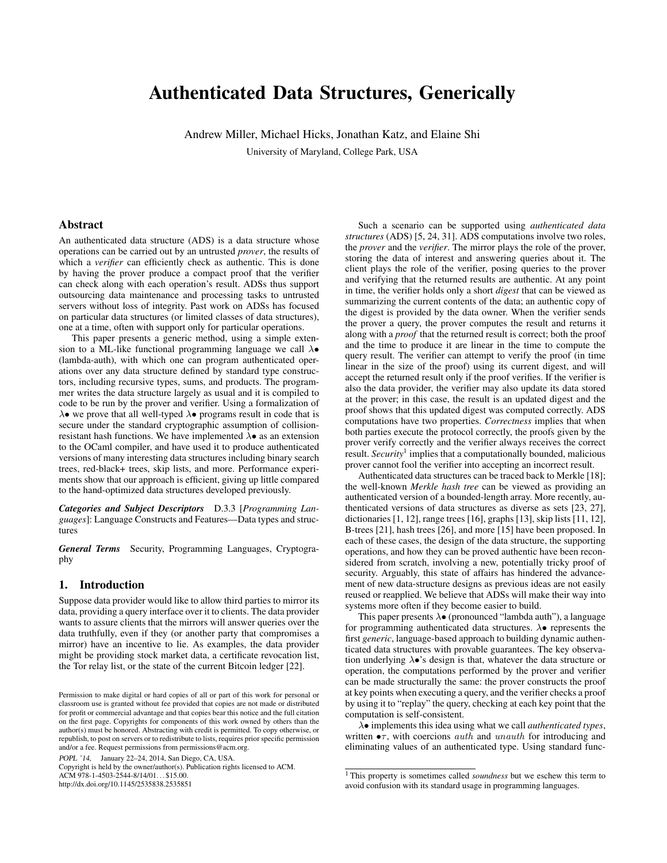# Authenticated Data Structures, Generically

Andrew Miller, Michael Hicks, Jonathan Katz, and Elaine Shi

University of Maryland, College Park, USA

## Abstract

An authenticated data structure (ADS) is a data structure whose operations can be carried out by an untrusted *prover*, the results of which a *verifier* can efficiently check as authentic. This is done by having the prover produce a compact proof that the verifier can check along with each operation's result. ADSs thus support outsourcing data maintenance and processing tasks to untrusted servers without loss of integrity. Past work on ADSs has focused on particular data structures (or limited classes of data structures), one at a time, often with support only for particular operations.

This paper presents a generic method, using a simple extension to a ML-like functional programming language we call  $\lambda \bullet$ (lambda-auth), with which one can program authenticated operations over any data structure defined by standard type constructors, including recursive types, sums, and products. The programmer writes the data structure largely as usual and it is compiled to code to be run by the prover and verifier. Using a formalization of  $\lambda \bullet$  we prove that all well-typed  $\lambda \bullet$  programs result in code that is secure under the standard cryptographic assumption of collisionresistant hash functions. We have implemented  $\lambda \bullet$  as an extension to the OCaml compiler, and have used it to produce authenticated versions of many interesting data structures including binary search trees, red-black+ trees, skip lists, and more. Performance experiments show that our approach is efficient, giving up little compared to the hand-optimized data structures developed previously.

*Categories and Subject Descriptors* D.3.3 [*Programming Languages*]: Language Constructs and Features—Data types and structures

*General Terms* Security, Programming Languages, Cryptography

## 1. Introduction

Suppose data provider would like to allow third parties to mirror its data, providing a query interface over it to clients. The data provider wants to assure clients that the mirrors will answer queries over the data truthfully, even if they (or another party that compromises a mirror) have an incentive to lie. As examples, the data provider might be providing stock market data, a certificate revocation list, the Tor relay list, or the state of the current Bitcoin ledger [22].

POPL '14, January 22–24, 2014, San Diego, CA, USA.

Copyright is held by the owner/author(s). Publication rights licensed to ACM. ACM 978-1-4503-2544-8/14/01... \$15.00. http://dx.doi.org/10.1145/2535838.2535851

Such a scenario can be supported using *authenticated data structures* (ADS) [5, 24, 31]. ADS computations involve two roles, the *prover* and the *verifier*. The mirror plays the role of the prover, storing the data of interest and answering queries about it. The client plays the role of the verifier, posing queries to the prover and verifying that the returned results are authentic. At any point in time, the verifier holds only a short *digest* that can be viewed as summarizing the current contents of the data; an authentic copy of the digest is provided by the data owner. When the verifier sends the prover a query, the prover computes the result and returns it along with a *proof* that the returned result is correct; both the proof and the time to produce it are linear in the time to compute the query result. The verifier can attempt to verify the proof (in time linear in the size of the proof) using its current digest, and will accept the returned result only if the proof verifies. If the verifier is also the data provider, the verifier may also update its data stored at the prover; in this case, the result is an updated digest and the proof shows that this updated digest was computed correctly. ADS computations have two properties. *Correctness* implies that when both parties execute the protocol correctly, the proofs given by the prover verify correctly and the verifier always receives the correct result. *Security*<sup>1</sup> implies that a computationally bounded, malicious prover cannot fool the verifier into accepting an incorrect result.

Authenticated data structures can be traced back to Merkle [18]; the well-known *Merkle hash tree* can be viewed as providing an authenticated version of a bounded-length array. More recently, authenticated versions of data structures as diverse as sets [23, 27], dictionaries [1, 12], range trees [16], graphs [13], skip lists [11, 12], B-trees [21], hash trees [26], and more [15] have been proposed. In each of these cases, the design of the data structure, the supporting operations, and how they can be proved authentic have been reconsidered from scratch, involving a new, potentially tricky proof of security. Arguably, this state of affairs has hindered the advancement of new data-structure designs as previous ideas are not easily reused or reapplied. We believe that ADSs will make their way into systems more often if they become easier to build.

This paper presents  $\lambda \bullet$  (pronounced "lambda auth"), a language for programming authenticated data structures.  $\lambda \bullet$  represents the first *generic*, language-based approach to building dynamic authenticated data structures with provable guarantees. The key observation underlying  $\lambda \bullet$ 's design is that, whatever the data structure or operation, the computations performed by the prover and verifier can be made structurally the same: the prover constructs the proof at key points when executing a query, and the verifier checks a proof by using it to "replay" the query, checking at each key point that the computation is self-consistent.

λ• implements this idea using what we call *authenticated types*, written  $\bullet \tau$ , with coercions *auth* and *unauth* for introducing and eliminating values of an authenticated type. Using standard func-

Permission to make digital or hard copies of all or part of this work for personal or classroom use is granted without fee provided that copies are not made or distributed for profit or commercial advantage and that copies bear this notice and the full citation on the first page. Copyrights for components of this work owned by others than the author(s) must be honored. Abstracting with credit is permitted. To copy otherwise, or republish, to post on servers or to redistribute to lists, requires prior specific permission and/or a fee. Request permissions from permissions@acm.org.

<sup>1</sup> This property is sometimes called *soundness* but we eschew this term to avoid confusion with its standard usage in programming languages.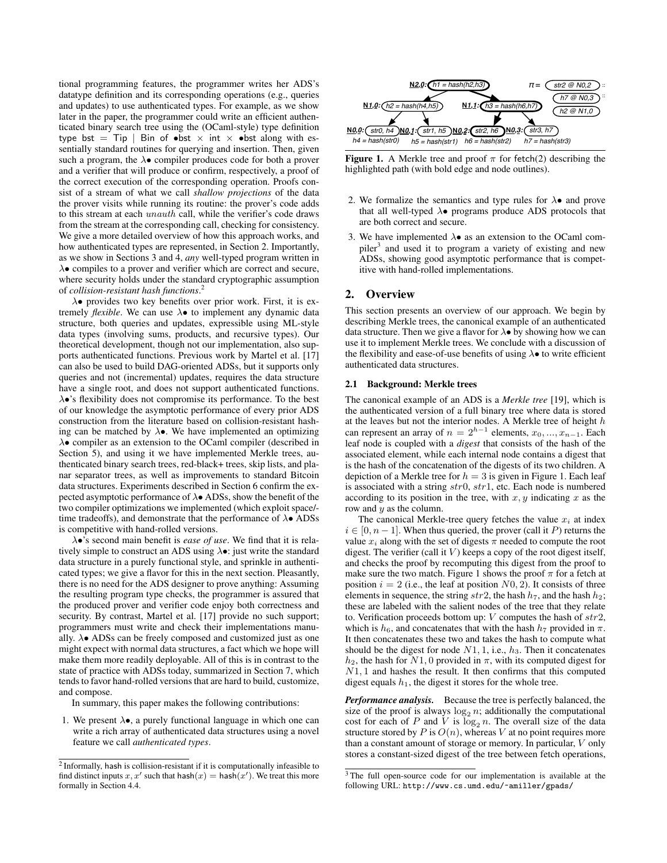tional programming features, the programmer writes her ADS's datatype definition and its corresponding operations (e.g., queries and updates) to use authenticated types. For example, as we show later in the paper, the programmer could write an efficient authenticated binary search tree using the (OCaml-style) type definition type bst = Tip | Bin of  $\bullet$ bst  $\times$  int  $\times$   $\bullet$ bst along with essentially standard routines for querying and insertion. Then, given such a program, the  $\lambda \bullet$  compiler produces code for both a prover and a verifier that will produce or confirm, respectively, a proof of the correct execution of the corresponding operation. Proofs consist of a stream of what we call *shallow projections* of the data the prover visits while running its routine: the prover's code adds to this stream at each unauth call, while the verifier's code draws from the stream at the corresponding call, checking for consistency. We give a more detailed overview of how this approach works, and how authenticated types are represented, in Section 2. Importantly, as we show in Sections 3 and 4, *any* well-typed program written in  $\lambda \bullet$  compiles to a prover and verifier which are correct and secure, where security holds under the standard cryptographic assumption of *collision-resistant hash functions*. 2

 $\lambda$ • provides two key benefits over prior work. First, it is extremely *flexible*. We can use  $\lambda \bullet$  to implement any dynamic data structure, both queries and updates, expressible using ML-style data types (involving sums, products, and recursive types). Our theoretical development, though not our implementation, also supports authenticated functions. Previous work by Martel et al. [17] can also be used to build DAG-oriented ADSs, but it supports only queries and not (incremental) updates, requires the data structure have a single root, and does not support authenticated functions.  $\lambda \bullet$ 's flexibility does not compromise its performance. To the best of our knowledge the asymptotic performance of every prior ADS construction from the literature based on collision-resistant hashing can be matched by  $\lambda \bullet$ . We have implemented an optimizing λ• compiler as an extension to the OCaml compiler (described in Section 5), and using it we have implemented Merkle trees, authenticated binary search trees, red-black+ trees, skip lists, and planar separator trees, as well as improvements to standard Bitcoin data structures. Experiments described in Section 6 confirm the expected asymptotic performance of  $\lambda \bullet$  ADSs, show the benefit of the two compiler optimizations we implemented (which exploit space/ time tradeoffs), and demonstrate that the performance of  $\lambda \bullet$  ADSs is competitive with hand-rolled versions.

λ•'s second main benefit is *ease of use*. We find that it is relatively simple to construct an ADS using  $\lambda \bullet$ : just write the standard data structure in a purely functional style, and sprinkle in authenticated types; we give a flavor for this in the next section. Pleasantly, there is no need for the ADS designer to prove anything: Assuming the resulting program type checks, the programmer is assured that the produced prover and verifier code enjoy both correctness and security. By contrast, Martel et al. [17] provide no such support; programmers must write and check their implementations manually.  $\lambda \bullet$  ADSs can be freely composed and customized just as one might expect with normal data structures, a fact which we hope will make them more readily deployable. All of this is in contrast to the state of practice with ADSs today, summarized in Section 7, which tends to favor hand-rolled versions that are hard to build, customize, and compose.

In summary, this paper makes the following contributions:

1. We present  $\lambda \bullet$ , a purely functional language in which one can write a rich array of authenticated data structures using a novel feature we call *authenticated types*.



**Figure 1.** A Merkle tree and proof  $\pi$  for fetch(2) describing the highlighted path (with bold edge and node outlines).

- 2. We formalize the semantics and type rules for  $\lambda \bullet$  and prove that all well-typed  $\lambda \bullet$  programs produce ADS protocols that are both correct and secure.
- 3. We have implemented  $\lambda \bullet$  as an extension to the OCaml compiler<sup>3</sup> and used it to program a variety of existing and new ADSs, showing good asymptotic performance that is competitive with hand-rolled implementations.

## 2. Overview

This section presents an overview of our approach. We begin by describing Merkle trees, the canonical example of an authenticated data structure. Then we give a flavor for  $\lambda \bullet$  by showing how we can use it to implement Merkle trees. We conclude with a discussion of the flexibility and ease-of-use benefits of using  $\lambda \bullet$  to write efficient authenticated data structures.

#### 2.1 Background: Merkle trees

The canonical example of an ADS is a *Merkle tree* [19], which is the authenticated version of a full binary tree where data is stored at the leaves but not the interior nodes. A Merkle tree of height h can represent an array of  $n = 2^{h-1}$  elements,  $x_0, ..., x_{n-1}$ . Each leaf node is coupled with a *digest* that consists of the hash of the associated element, while each internal node contains a digest that is the hash of the concatenation of the digests of its two children. A depiction of a Merkle tree for  $h = 3$  is given in Figure 1. Each leaf is associated with a string  $str0, str1$ , etc. Each node is numbered according to its position in the tree, with  $x, y$  indicating  $x$  as the row and  $y$  as the column.

The canonical Merkle-tree query fetches the value  $x_i$  at index  $i \in [0, n-1]$ . When thus queried, the prover (call it P) returns the value  $x_i$  along with the set of digests  $\pi$  needed to compute the root digest. The verifier (call it  $V$ ) keeps a copy of the root digest itself, and checks the proof by recomputing this digest from the proof to make sure the two match. Figure 1 shows the proof  $\pi$  for a fetch at position  $i = 2$  (i.e., the leaf at position  $N(0, 2)$ ). It consists of three elements in sequence, the string  $str2$ , the hash  $h_7$ , and the hash  $h_2$ ; these are labeled with the salient nodes of the tree that they relate to. Verification proceeds bottom up:  $V$  computes the hash of  $str2$ , which is  $h_6$ , and concatenates that with the hash  $h_7$  provided in  $\pi$ . It then concatenates these two and takes the hash to compute what should be the digest for node  $N1, 1, i.e., h_3$ . Then it concatenates  $h_2$ , the hash for  $N1$ , 0 provided in  $\pi$ , with its computed digest for  $N1, 1$  and hashes the result. It then confirms that this computed digest equals  $h_1$ , the digest it stores for the whole tree.

*Performance analysis.* Because the tree is perfectly balanced, the size of the proof is always  $\log_2 n$ ; additionally the computational cost for each of P and V is  $log_2 n$ . The overall size of the data structure stored by P is  $O(n)$ , whereas V at no point requires more than a constant amount of storage or memory. In particular, V only stores a constant-sized digest of the tree between fetch operations,

 $2$  Informally, hash is collision-resistant if it is computationally infeasible to find distinct inputs  $x, x'$  such that  $\mathsf{hash}(x) = \mathsf{hash}(x')$ . We treat this more formally in Section 4.4.

<sup>3</sup> The full open-source code for our implementation is available at the following URL: http://www.cs.umd.edu/~amiller/gpads/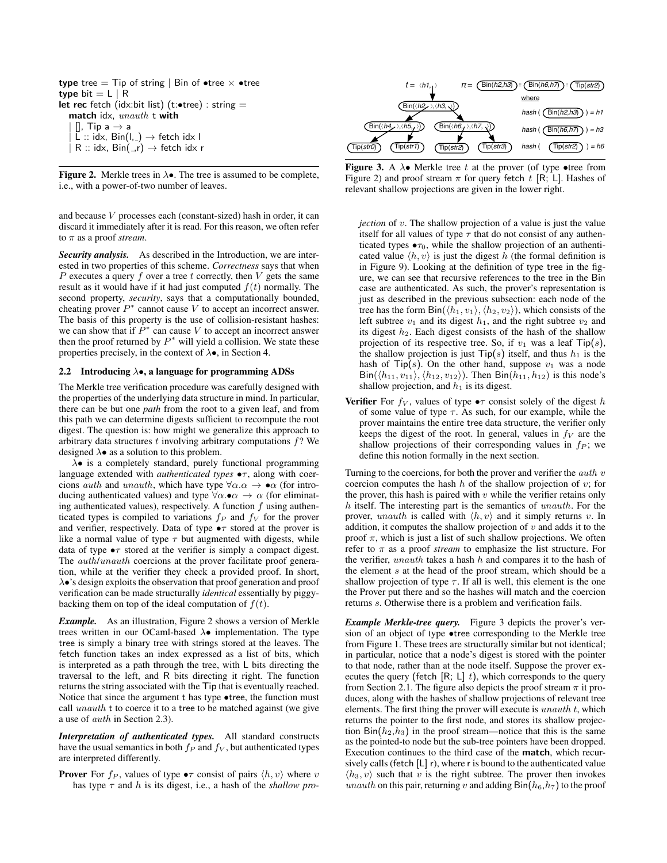type tree = Tip of string | Bin of  $\bullet$ tree  $\times$   $\bullet$ tree type bit  $= L | R$ let rec fetch (idx:bit list) (t: $\bullet$ tree) : string = match idx, unauth t with  $[$ ], Tip a  $\rightarrow$  a L :: idx,  $Bin(I, ) \rightarrow fetch$  idx l  $R :: idx$ ,  $Bin($ \_,r)  $\rightarrow$  fetch idx r

Figure 2. Merkle trees in  $\lambda \bullet$ . The tree is assumed to be complete, i.e., with a power-of-two number of leaves.

and because V processes each (constant-sized) hash in order, it can discard it immediately after it is read. For this reason, we often refer to π as a proof *stream*.

*Security analysis.* As described in the Introduction, we are interested in two properties of this scheme. *Correctness* says that when P executes a query  $f$  over a tree  $t$  correctly, then  $V$  gets the same result as it would have if it had just computed  $f(t)$  normally. The second property, *security*, says that a computationally bounded, cheating prover  $P^*$  cannot cause V to accept an incorrect answer. The basis of this property is the use of collision-resistant hashes: we can show that if  $\hat{P}^*$  can cause V to accept an incorrect answer then the proof returned by  $P^*$  will yield a collision. We state these properties precisely, in the context of  $\lambda \bullet$ , in Section 4.

#### 2.2 Introducing  $\lambda \bullet$ , a language for programming ADSs

The Merkle tree verification procedure was carefully designed with the properties of the underlying data structure in mind. In particular, there can be but one *path* from the root to a given leaf, and from this path we can determine digests sufficient to recompute the root digest. The question is: how might we generalize this approach to arbitrary data structures  $t$  involving arbitrary computations  $f$ ? We designed  $\lambda \bullet$  as a solution to this problem.

 $\lambda \bullet$  is a completely standard, purely functional programming language extended with *authenticated types*  $\bullet$ *τ*, along with coercions *auth* and *unauth*, which have type  $\forall \alpha \cdot \alpha \rightarrow \bullet \alpha$  (for introducing authenticated values) and type  $\forall \alpha \cdot \bullet \alpha \rightarrow \alpha$  (for eliminating authenticated values), respectively. A function  $f$  using authenticated types is compiled to variations  $f_P$  and  $f_V$  for the prover and verifier, respectively. Data of type  $\bullet \tau$  stored at the prover is like a normal value of type  $\tau$  but augmented with digests, while data of type  $\bullet \tau$  stored at the verifier is simply a compact digest. The *auth/unauth* coercions at the prover facilitate proof generation, while at the verifier they check a provided proof. In short,  $\lambda \bullet$ 's design exploits the observation that proof generation and proof verification can be made structurally *identical* essentially by piggybacking them on top of the ideal computation of  $f(t)$ .

*Example.* As an illustration, Figure 2 shows a version of Merkle trees written in our OCaml-based  $\lambda \bullet$  implementation. The type tree is simply a binary tree with strings stored at the leaves. The fetch function takes an index expressed as a list of bits, which is interpreted as a path through the tree, with L bits directing the traversal to the left, and R bits directing it right. The function returns the string associated with the Tip that is eventually reached. Notice that since the argument t has type  $\bullet$  tree, the function must call *unauth* t to coerce it to a tree to be matched against (we give a use of auth in Section 2.3).

*Interpretation of authenticated types.* All standard constructs have the usual semantics in both  $f_P$  and  $f_V$ , but authenticated types are interpreted differently.

**Prover** For  $f_P$ , values of type  $\bullet \tau$  consist of pairs  $\langle h, v \rangle$  where v has type τ and h is its digest, i.e., a hash of the *shallow pro-*



Figure 3. A  $\lambda \bullet$  Merkle tree t at the prover (of type  $\bullet$  tree from Figure 2) and proof stream  $\pi$  for query fetch t [R; L]. Hashes of relevant shallow projections are given in the lower right.

*jection* of v. The shallow projection of a value is just the value itself for all values of type  $\tau$  that do not consist of any authenticated types  $\bullet \tau_0$ , while the shallow projection of an authenticated value  $\langle h, v \rangle$  is just the digest h (the formal definition is in Figure 9). Looking at the definition of type tree in the figure, we can see that recursive references to the tree in the Bin case are authenticated. As such, the prover's representation is just as described in the previous subsection: each node of the tree has the form  $Bin(\langle h_1, v_1 \rangle, \langle h_2, v_2 \rangle)$ , which consists of the left subtree  $v_1$  and its digest  $h_1$ , and the right subtree  $v_2$  and its digest  $h_2$ . Each digest consists of the hash of the shallow projection of its respective tree. So, if  $v_1$  was a leaf  $Tip(s)$ , the shallow projection is just  $Tip(s)$  itself, and thus  $h_1$  is the hash of  $Tip(s)$ . On the other hand, suppose  $v_1$  was a node  $\text{Bin}(\langle h_{11}, v_{11} \rangle, \langle h_{12}, v_{12} \rangle)$ . Then  $\text{Bin}(h_{11}, h_{12})$  is this node's shallow projection, and  $h_1$  is its digest.

**Verifier** For  $f_V$ , values of type  $\bullet \tau$  consist solely of the digest h of some value of type  $\tau$ . As such, for our example, while the prover maintains the entire tree data structure, the verifier only keeps the digest of the root. In general, values in  $f_V$  are the shallow projections of their corresponding values in  $f<sub>P</sub>$ ; we define this notion formally in the next section.

Turning to the coercions, for both the prover and verifier the *auth v* coercion computes the hash  $h$  of the shallow projection of  $v$ ; for the prover, this hash is paired with  $v$  while the verifier retains only h itself. The interesting part is the semantics of unauth. For the prover, unauth is called with  $\langle h, v \rangle$  and it simply returns v. In addition, it computes the shallow projection of  $v$  and adds it to the proof  $\pi$ , which is just a list of such shallow projections. We often refer to  $\pi$  as a proof *stream* to emphasize the list structure. For the verifier, *unauth* takes a hash  $h$  and compares it to the hash of the element s at the head of the proof stream, which should be a shallow projection of type  $\tau$ . If all is well, this element is the one the Prover put there and so the hashes will match and the coercion returns s. Otherwise there is a problem and verification fails.

*Example Merkle-tree query.* Figure 3 depicts the prover's version of an object of type •tree corresponding to the Merkle tree from Figure 1. These trees are structurally similar but not identical; in particular, notice that a node's digest is stored with the pointer to that node, rather than at the node itself. Suppose the prover executes the query (fetch [R; L]  $t$ ), which corresponds to the query from Section 2.1. The figure also depicts the proof stream  $\pi$  it produces, along with the hashes of shallow projections of relevant tree elements. The first thing the prover will execute is unauth t, which returns the pointer to the first node, and stores its shallow projection  $\text{Bin}(h_2,h_3)$  in the proof stream—notice that this is the same as the pointed-to node but the sub-tree pointers have been dropped. Execution continues to the third case of the match, which recursively calls (fetch  $[L]$  r), where r is bound to the authenticated value  $\langle h_3, v \rangle$  such that v is the right subtree. The prover then invokes unauth on this pair, returning v and adding  $\text{Bin}(h_6,h_7)$  to the proof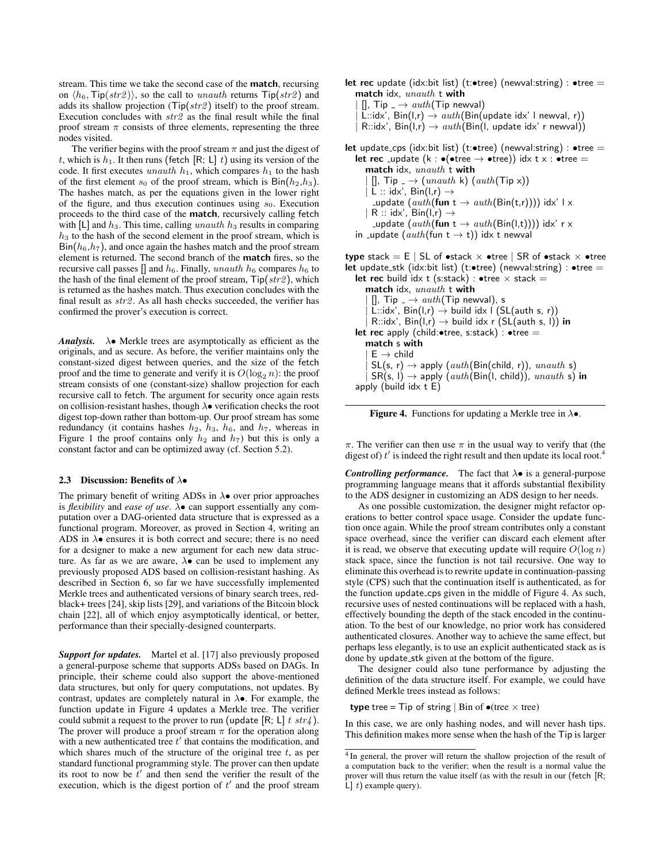stream. This time we take the second case of the match, recursing on  $\langle h_6, \text{Tip}(str2) \rangle$ , so the call to unauth returns  $\text{Tip}(str2)$  and adds its shallow projection ( $\text{Tip}(str2)$ ) itself) to the proof stream. Execution concludes with  $str2$  as the final result while the final proof stream  $\pi$  consists of three elements, representing the three nodes visited.

The verifier begins with the proof stream  $\pi$  and just the digest of t, which is  $h_1$ . It then runs (fetch [R; L] t) using its version of the code. It first executes *unauth*  $h_1$ , which compares  $h_1$  to the hash of the first element  $s_0$  of the proof stream, which is  $\text{Bin}(h_2,h_3)$ . The hashes match, as per the equations given in the lower right of the figure, and thus execution continues using  $s_0$ . Execution proceeds to the third case of the match, recursively calling fetch with  $[L]$  and  $h_3$ . This time, calling unauth  $h_3$  results in comparing  $h_3$  to the hash of the second element in the proof stream, which is  $\text{Bin}(h_6, h_7)$ , and once again the hashes match and the proof stream element is returned. The second branch of the match fires, so the recursive call passes  $[]$  and  $h_6$ . Finally, unauth  $h_6$  compares  $h_6$  to the hash of the final element of the proof stream,  $\text{Tip}(str2)$ , which is returned as the hashes match. Thus execution concludes with the final result as  $str2$ . As all hash checks succeeded, the verifier has confirmed the prover's execution is correct.

*Analysis.*  $\lambda \bullet$  Merkle trees are asymptotically as efficient as the originals, and as secure. As before, the verifier maintains only the constant-sized digest between queries, and the size of the fetch proof and the time to generate and verify it is  $O(\log_2 n)$ : the proof stream consists of one (constant-size) shallow projection for each recursive call to fetch. The argument for security once again rests on collision-resistant hashes, though  $\lambda \bullet$  verification checks the root digest top-down rather than bottom-up. Our proof stream has some redundancy (it contains hashes  $h_2$ ,  $h_3$ ,  $h_6$ , and  $h_7$ , whereas in Figure 1 the proof contains only  $h_2$  and  $h_7$ ) but this is only a constant factor and can be optimized away (cf. Section 5.2).

#### 2.3 Discussion: Benefits of  $\lambda \bullet$

The primary benefit of writing ADSs in  $\lambda \bullet$  over prior approaches is *flexibility* and *ease of use*. λ• can support essentially any computation over a DAG-oriented data structure that is expressed as a functional program. Moreover, as proved in Section 4, writing an ADS in  $\lambda \bullet$  ensures it is both correct and secure; there is no need for a designer to make a new argument for each new data structure. As far as we are aware,  $\lambda \bullet$  can be used to implement any previously proposed ADS based on collision-resistant hashing. As described in Section 6, so far we have successfully implemented Merkle trees and authenticated versions of binary search trees, redblack+ trees [24], skip lists [29], and variations of the Bitcoin block chain [22], all of which enjoy asymptotically identical, or better, performance than their specially-designed counterparts.

*Support for updates.* Martel et al. [17] also previously proposed a general-purpose scheme that supports ADSs based on DAGs. In principle, their scheme could also support the above-mentioned data structures, but only for query computations, not updates. By contrast, updates are completely natural in  $\lambda \bullet$ . For example, the function update in Figure 4 updates a Merkle tree. The verifier could submit a request to the prover to run (update [R; L]  $t \, str4$  ). The prover will produce a proof stream  $\pi$  for the operation along with a new authenticated tree  $t'$  that contains the modification, and which shares much of the structure of the original tree  $t$ , as per standard functional programming style. The prover can then update its root to now be  $t'$  and then send the verifier the result of the execution, which is the digest portion of  $t'$  and the proof stream

- let rec update (idx:bit list) (t: $\bullet$ tree) (newval:string) :  $\bullet$ tree = match idx, unauth t with
	- $[]$ , Tip  $\rightarrow$  auth(Tip newval)
	- L::idx',  $Bin(l,r) \rightarrow \text{auth}(Bin(\text{update} \text{ idx'} \mid \text{newval}, r))$
	- $R::idx'$ ,  $Bin(l,r) \rightarrow auth(Bin(l, update idx' r newval))$

let update\_cps (idx:bit list) (t: $\bullet$ tree) (newval:string) :  $\bullet$ tree = let rec \_update (k :  $\bullet$ ( $\bullet$ tree  $\rightarrow$   $\bullet$ tree)) idx t x :  $\bullet$ tree = match idx, unauth t with  $[$ ], Tip  $_$   $\rightarrow$  (unauth k) (auth(Tip x))  $|\tilde{\sf L}::\tilde{\sf d}x',\,{\sf Bin}({\sf l},{\sf r})\rightarrow$ \_update  $(auth(**fun** t  $\rightarrow$   $auth(Bin(t,r))))$  idx' l x$  $| R :: idx', Bin(l,r) \rightarrow$ \_update  $(\text{auth}(\text{fun } t \rightarrow \text{auth}(\text{Bin}(l, t))))$  idx' r x in \_update  $(\text{auth}(\text{fun } t \rightarrow t))$  idx t newval

type stack =  $E \mid SL$  of  $\bullet$ stack  $\times \bullet$ tree | SR of  $\bullet$ stack  $\times \bullet$ tree let update\_stk (idx:bit list) (t: $\bullet$ tree) (newval:string) :  $\bullet$ tree = let rec build idx t (s:stack) :  $\bullet$ tree  $\times$  stack = match idx, unauth t with [], Tip  $\Box \rightarrow \text{auth}(\text{Tip newval})$ , s  $\overline{\text{L}}::\text{idx}'$ ,  $\text{Bin}(I,r) \rightarrow \text{build } \text{idx } I$  (SL(auth s, r))  $R::idx'$ ,  $Bin(I,r) \rightarrow build$  idx r  $(SL(auth s, I))$  in **let rec** apply (child:•tree, s:stack) : •tree  $=$ match s with  $| E \rightarrow$  child  $SL(s, r) \rightarrow apply (auth(Bin(child, r)), unauth s)$  $SR(s, l) \rightarrow apply (auth(Bin(l, child)), unauth s)$  in apply (build  $idx$  t  $E$ )

**Figure 4.** Functions for updating a Merkle tree in  $\lambda \bullet$ .

 $\pi$ . The verifier can then use  $\pi$  in the usual way to verify that (the digest of)  $t'$  is indeed the right result and then update its local root.<sup>4</sup>

*Controlling performance.* The fact that  $\lambda \bullet$  is a general-purpose programming language means that it affords substantial flexibility to the ADS designer in customizing an ADS design to her needs.

As one possible customization, the designer might refactor operations to better control space usage. Consider the update function once again. While the proof stream contributes only a constant space overhead, since the verifier can discard each element after it is read, we observe that executing update will require  $O(\log n)$ stack space, since the function is not tail recursive. One way to eliminate this overhead is to rewrite update in continuation-passing style (CPS) such that the continuation itself is authenticated, as for the function update cps given in the middle of Figure 4. As such, recursive uses of nested continuations will be replaced with a hash, effectively bounding the depth of the stack encoded in the continuation. To the best of our knowledge, no prior work has considered authenticated closures. Another way to achieve the same effect, but perhaps less elegantly, is to use an explicit authenticated stack as is done by update\_stk given at the bottom of the figure.

The designer could also tune performance by adjusting the definition of the data structure itself. For example, we could have defined Merkle trees instead as follows:

type tree = Tip of string | Bin of  $\bullet$  (tree  $\times$  tree)

In this case, we are only hashing nodes, and will never hash tips. This definition makes more sense when the hash of the Tip is larger

<sup>&</sup>lt;sup>4</sup> In general, the prover will return the shallow projection of the result of a computation back to the verifier; when the result is a normal value the prover will thus return the value itself (as with the result in our (fetch [R;  $L$ ]  $t$ ) example query).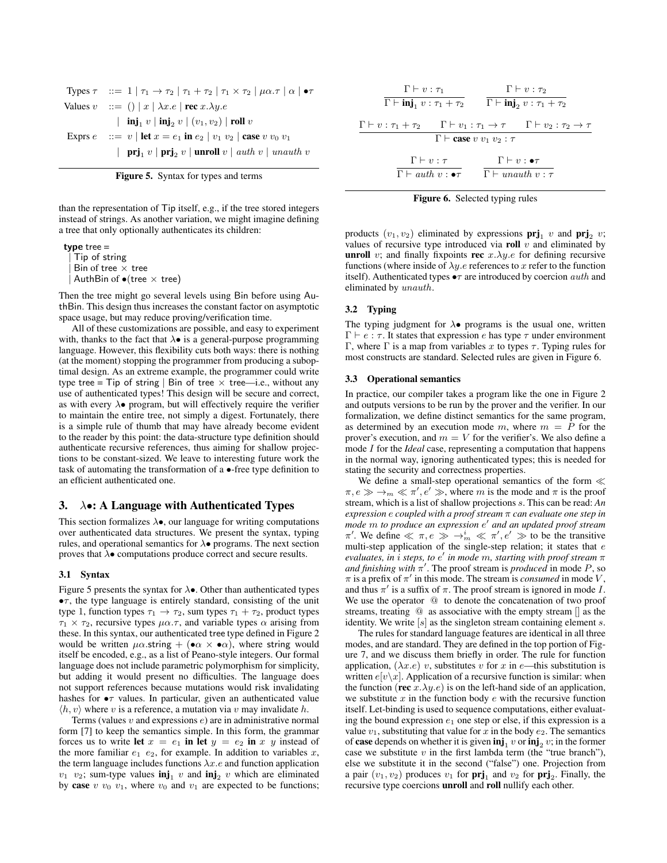| Types $\tau$ : $= 1   \tau_1 \rightarrow \tau_2   \tau_1 + \tau_2   \tau_1 \times \tau_2   \mu \alpha.\tau   \alpha   \bullet \tau$ |
|-------------------------------------------------------------------------------------------------------------------------------------|
| Values $v ::= ()   x   \lambda x.e  $ <b>rec</b> $x.\lambda y.e$                                                                    |
| $\int$ inj <sub>1</sub> v $\int$ inj <sub>2</sub> v $\int$ $(v_1, v_2)$ $\int$ roll v                                               |
| Exprs $e$ : $v = v$   let $x = e_1$ in $e_2$   $v_1$ $v_2$   case $v$ $v_0$ $v_1$                                                   |
| $\int$ prj <sub>1</sub> v   prj <sub>2</sub> v   unroll v   auth v   unauth v                                                       |

Figure 5. Syntax for types and terms

than the representation of Tip itself, e.g., if the tree stored integers instead of strings. As another variation, we might imagine defining a tree that only optionally authenticates its children:

type tree = Tip of string Bin of tree  $\times$  tree AuthBin of  $\bullet$ (tree  $\times$  tree)

Then the tree might go several levels using Bin before using AuthBin. This design thus increases the constant factor on asymptotic space usage, but may reduce proving/verification time.

All of these customizations are possible, and easy to experiment with, thanks to the fact that  $\lambda \bullet$  is a general-purpose programming language. However, this flexibility cuts both ways: there is nothing (at the moment) stopping the programmer from producing a suboptimal design. As an extreme example, the programmer could write type tree = Tip of string | Bin of tree  $\times$  tree—i.e., without any use of authenticated types! This design will be secure and correct, as with every  $\lambda \bullet$  program, but will effectively require the verifier to maintain the entire tree, not simply a digest. Fortunately, there is a simple rule of thumb that may have already become evident to the reader by this point: the data-structure type definition should authenticate recursive references, thus aiming for shallow projections to be constant-sized. We leave to interesting future work the task of automating the transformation of a •-free type definition to an efficient authenticated one.

#### 3.  $\lambda \bullet$ : A Language with Authenticated Types

This section formalizes  $\lambda \bullet$ , our language for writing computations over authenticated data structures. We present the syntax, typing rules, and operational semantics for  $\lambda \bullet$  programs. The next section proves that  $\lambda \bullet$  computations produce correct and secure results.

#### 3.1 Syntax

Figure 5 presents the syntax for  $\lambda \bullet$ . Other than authenticated types  $\bullet\tau$ , the type language is entirely standard, consisting of the unit type 1, function types  $\tau_1 \rightarrow \tau_2$ , sum types  $\tau_1 + \tau_2$ , product types  $\tau_1 \times \tau_2$ , recursive types  $\mu \alpha \cdot \tau$ , and variable types  $\alpha$  arising from these. In this syntax, our authenticated tree type defined in Figure 2 would be written  $\mu\alpha$ .string + ( $\bullet \alpha \times \bullet \alpha$ ), where string would itself be encoded, e.g., as a list of Peano-style integers. Our formal language does not include parametric polymorphism for simplicity, but adding it would present no difficulties. The language does not support references because mutations would risk invalidating hashes for  $\bullet \tau$  values. In particular, given an authenticated value  $\langle h, v \rangle$  where v is a reference, a mutation via v may invalidate h.

Terms (values  $v$  and expressions  $e$ ) are in administrative normal form [7] to keep the semantics simple. In this form, the grammar forces us to write let  $x = e_1$  in let  $y = e_2$  in x y instead of the more familiar  $e_1$   $e_2$ , for example. In addition to variables x, the term language includes functions  $\lambda x.e$  and function application  $v_1$   $v_2$ ; sum-type values  $\text{inj}_1$  v and  $\text{inj}_2$  v which are eliminated by case v  $v_0$   $v_1$ , where  $v_0$  and  $v_1$  are expected to be functions;

| $\Gamma\vdash v:\tau_1$                                                   | $\Gamma \vdash v : \tau_2$                                                                                                                |  |  |  |
|---------------------------------------------------------------------------|-------------------------------------------------------------------------------------------------------------------------------------------|--|--|--|
|                                                                           | $\Gamma \vdash \text{inj}_1 v : \tau_1 + \tau_2 \qquad \Gamma \vdash \text{inj}_2 v : \tau_1 + \tau_2$                                    |  |  |  |
|                                                                           | $\Gamma \vdash v : \tau_1 + \tau_2 \qquad \Gamma \vdash v_1 : \tau_1 \rightarrow \tau \qquad \Gamma \vdash v_2 : \tau_2 \rightarrow \tau$ |  |  |  |
| $\Gamma \vdash \mathbf{case} \ v \ v_1 \ v_2 : \tau$                      |                                                                                                                                           |  |  |  |
| $\Gamma \vdash v : \tau$<br>$\Gamma \vdash \text{auth } v : \bullet \tau$ | $\Gamma \vdash v : \bullet \tau$<br>$\Gamma \vdash unauth \; v : \tau$                                                                    |  |  |  |
|                                                                           |                                                                                                                                           |  |  |  |

Figure 6. Selected typing rules

products  $(v_1, v_2)$  eliminated by expressions  $\text{prj}_1$  v and  $\text{prj}_2$  v; values of recursive type introduced via roll  $v$  and eliminated by **unroll** v; and finally fixpoints **rec**  $x.\lambda y.e$  for defining recursive functions (where inside of  $\lambda y.e$  references to x refer to the function itself). Authenticated types  $\bullet\tau$  are introduced by coercion *auth* and eliminated by unauth.

## 3.2 Typing

The typing judgment for  $\lambda \bullet$  programs is the usual one, written  $\Gamma \vdash e : \tau$ . It states that expression e has type  $\tau$  under environment Γ, where Γ is a map from variables x to types  $τ$ . Typing rules for most constructs are standard. Selected rules are given in Figure 6.

#### 3.3 Operational semantics

In practice, our compiler takes a program like the one in Figure 2 and outputs versions to be run by the prover and the verifier. In our formalization, we define distinct semantics for the same program, as determined by an execution mode m, where  $m = P$  for the prover's execution, and  $m = V$  for the verifier's. We also define a mode I for the *Ideal* case, representing a computation that happens in the normal way, ignoring authenticated types; this is needed for stating the security and correctness properties.

We define a small-step operational semantics of the form  $\ll$  $\pi, e \gg \rightarrow_m \ll \pi', e' \gg$ , where m is the mode and  $\pi$  is the proof stream, which is a list of shallow projections s. This can be read: *An expression* e *coupled with a proof stream* π *can evaluate one step in mode* m *to produce an expression* e 0 *and an updated proof stream*  $\pi'$ . We define  $\ll \pi, e \gg \rightarrow_m^i \ll \pi', e' \gg$  to be the transitive multi-step application of the single-step relation; it states that  $e$ *evaluates, in* i *steps, to* e 0 *in mode* m*, starting with proof stream* π *and finishing with*  $\pi'$ . The proof stream is *produced* in mode P, so  $\pi$  is a prefix of  $\pi'$  in this mode. The stream is *consumed* in mode V, and thus  $\pi'$  is a suffix of  $\pi$ . The proof stream is ignored in mode I. We use the operator  $\omega$  to denote the concatenation of two proof streams, treating  $\oslash$  as associative with the empty stream  $\iota$  as the identity. We write  $[s]$  as the singleton stream containing element s.

The rules for standard language features are identical in all three modes, and are standard. They are defined in the top portion of Figure 7, and we discuss them briefly in order. The rule for function application,  $(\lambda x.e)$  v, substitutes v for x in e—this substitution is written  $e[v\setminus x]$ . Application of a recursive function is similar: when the function (rec  $x.\lambda y.e$ ) is on the left-hand side of an application, we substitute  $x$  in the function body  $e$  with the recursive function itself. Let-binding is used to sequence computations, either evaluating the bound expression  $e_1$  one step or else, if this expression is a value  $v_1$ , substituting that value for x in the body  $e_2$ . The semantics of **case** depends on whether it is given  $\text{inj}_1 v$  or  $\text{inj}_2 v$ ; in the former case we substitute  $v$  in the first lambda term (the "true branch"), else we substitute it in the second ("false") one. Projection from a pair  $(v_1, v_2)$  produces  $v_1$  for  $\text{prj}_1$  and  $v_2$  for  $\text{prj}_2$ . Finally, the recursive type coercions unroll and roll nullify each other.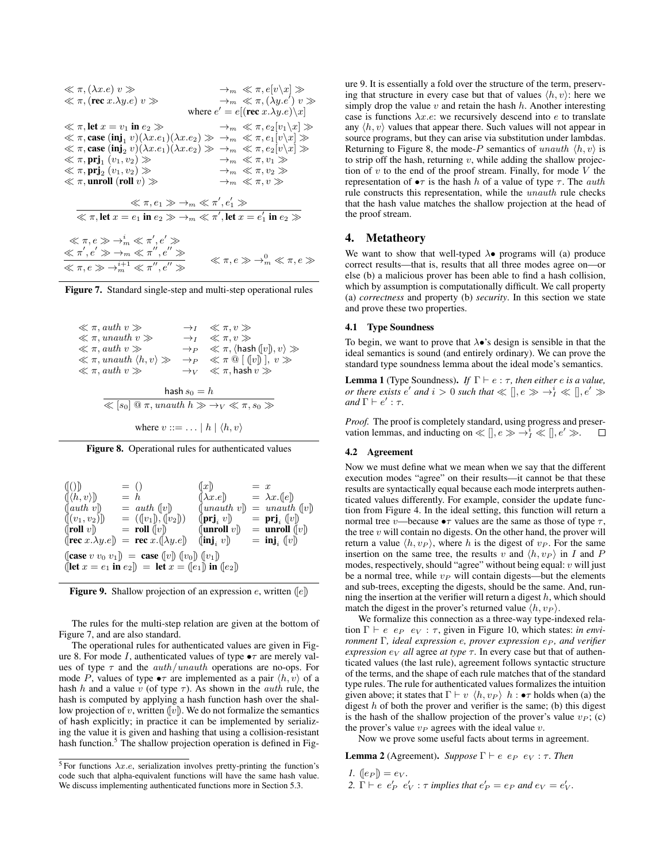$$
\ll \pi, (\lambda x.e) v \gg \rightarrow_m \ll \pi, e[v \lor x] \gg
$$
  
\n
$$
\ll \pi, (\text{rec } x.\lambda y.e) v \gg \text{ where } e' = e[(\text{rec } x.\lambda y.e) \lor x]
$$
  
\n
$$
\ll \pi, \text{let } x = v_1 \text{ in } e_2 \gg \rightarrow_m \ll \pi, e_2[v_1 \lor x] \gg
$$
  
\n
$$
\ll \pi, \text{case } (\text{inj}_1 v)(\lambda x.e_1)(\lambda x.e_2) \gg \rightarrow_m \ll \pi, e_1[v \lor x] \gg
$$
  
\n
$$
\ll \pi, \text{case } (\text{inj}_2 v)(\lambda x.e_1)(\lambda x.e_2) \gg \rightarrow_m \ll \pi, e_1[v \lor x] \gg
$$
  
\n
$$
\ll \pi, \text{proj}_1 (v_1, v_2) \gg \rightarrow_m \ll \pi, v_1 \gg \rightarrow_m \ll \pi, v_2 \gg
$$
  
\n
$$
\ll \pi, \text{proj}_2 (v_1, v_2) \gg \rightarrow_m \ll \pi, v_2 \gg
$$
  
\n
$$
\ll \pi, \text{let } x = e_1 \text{ in } e_2 \gg \rightarrow_m \ll \pi', e_1' \gg
$$
  
\n
$$
\ll \pi, \text{let } x = e_1 \text{ in } e_2 \gg \rightarrow_m \ll \pi', \text{let } x = e_1' \text{ in } e_2 \gg
$$
  
\n
$$
\ll \pi, e \gg \rightarrow_m^i \ll \pi', e' \gg
$$
  
\n
$$
\ll \pi, e \gg \rightarrow_m^i \ll \pi', e'' \gg
$$
  
\n
$$
\ll \pi, e \gg \rightarrow_m^{i+1} \ll \pi'', e'' \gg \ll \pi, e \gg \rightarrow_m \ll \pi, e \gg \rightarrow_m \ll \pi, e \gg
$$

Figure 7. Standard single-step and multi-step operational rules

| $\ll$ [s <sub>0</sub> ] $\Omega \pi$ , unauth $h \gg \rightarrow_V \ll \pi$ , s <sub>0</sub> $\gg$ |  |                                                                |  |  |  |
|----------------------------------------------------------------------------------------------------|--|----------------------------------------------------------------|--|--|--|
| hash $s_0 = h$                                                                                     |  |                                                                |  |  |  |
| $\ll \pi$ , auth $v \gg$                                                                           |  | $\rightarrow_V \ll \pi$ , hash $v \gg$                         |  |  |  |
| $\ll \pi$ , unauth $\langle h, v \rangle \gg$                                                      |  | $\rightarrow_P \ll \pi \mathcal{Q}$ $[ (v) ], v \gg$           |  |  |  |
| $\ll \pi$ , auth $v \gg$                                                                           |  | $\rightarrow_P \ll \pi$ , $\langle$ hash $([v], v \rangle \gg$ |  |  |  |
| $\ll \pi$ , unauth $v \gg$                                                                         |  | $\rightarrow_I \ll \pi, v \gg$                                 |  |  |  |
| $\ll \pi$ , auth $v \gg$                                                                           |  | $\rightarrow_I$ $\ll \pi, v \gg$                               |  |  |  |

where  $v ::= \ldots | h | \langle h, v \rangle$ 



| $(\lceil \cdot \rceil)$                                                                                                                                           | $= ()$                                                                                       | (x)                                                                                                   | $= x$ |                          |  |
|-------------------------------------------------------------------------------------------------------------------------------------------------------------------|----------------------------------------------------------------------------------------------|-------------------------------------------------------------------------------------------------------|-------|--------------------------|--|
| $(\!\langle h,v \rangle)\!)$                                                                                                                                      | $= h$                                                                                        | $(\lambda x.e)$                                                                                       |       | $= \lambda x. (e)$       |  |
| $\left(\left\lceil \text{auth } v \right\rceil\right)$                                                                                                            | $= \; \text{auth} \; (v)$                                                                    | $\langle \langle \text{unauth } v \rangle \rangle = \text{unauth } \langle \langle v \rangle \rangle$ |       |                          |  |
| $( (v_1, v_2) )$                                                                                                                                                  | $= (([v_1], ([v_2]))$                                                                        | $(\lceil \mathbf{p} \mathbf{r} \rceil, v \rceil)$                                                     |       | $=$ prj, $( v )$         |  |
| ( $\lceil \text{roll } v \rceil$ )                                                                                                                                | $=$ roll $(v)$                                                                               | ( unroll $v$ )                                                                                        |       | $=$ unroll $( v )$       |  |
|                                                                                                                                                                   | $\langle \left[ \text{rec } x. \lambda y. e \right] \rangle = \text{rec } x. (\lambda y. e)$ | $(\mathbf{inj}, v)$                                                                                   |       | $=$ inj <sub>i</sub> (v) |  |
| $\left(\text{case } v v_0 v_1\right) = \text{case } \left(v\right) \left(v_0\right) \left(v_1\right)$<br>(let $x = e_1$ in $e_2$ ) = let $x = (e_1)$ in $(e_2)$ ) |                                                                                              |                                                                                                       |       |                          |  |

|  |  |  |  | <b>Figure 9.</b> Shallow projection of an expression $e$ , written $[$ e $]$ |  |  |  |
|--|--|--|--|------------------------------------------------------------------------------|--|--|--|
|--|--|--|--|------------------------------------------------------------------------------|--|--|--|

The rules for the multi-step relation are given at the bottom of Figure 7, and are also standard.

The operational rules for authenticated values are given in Figure 8. For mode I, authenticated values of type  $\bullet \tau$  are merely values of type  $\tau$  and the *auth/unauth* operations are no-ops. For mode P, values of type  $\bullet \tau$  are implemented as a pair  $\langle h, v \rangle$  of a hash h and a value v (of type  $\tau$ ). As shown in the *auth* rule, the hash is computed by applying a hash function hash over the shallow projection of v, written  $(v)$ . We do not formalize the semantics of hash explicitly; in practice it can be implemented by serializing the value it is given and hashing that using a collision-resistant hash function.<sup>5</sup> The shallow projection operation is defined in Fig-

ure 9. It is essentially a fold over the structure of the term, preserving that structure in every case but that of values  $\langle h, v \rangle$ : here we simply drop the value  $v$  and retain the hash  $h$ . Another interesting case is functions  $\lambda x.e.$  we recursively descend into e to translate any  $\langle h, v \rangle$  values that appear there. Such values will not appear in source programs, but they can arise via substitution under lambdas. Returning to Figure 8, the mode-P semantics of unauth  $\langle h, v \rangle$  is to strip off the hash, returning  $v$ , while adding the shallow projection of  $v$  to the end of the proof stream. Finally, for mode  $V$  the representation of  $\bullet \tau$  is the hash h of a value of type  $\tau$ . The *auth* rule constructs this representation, while the unauth rule checks that the hash value matches the shallow projection at the head of the proof stream.

## 4. Metatheory

We want to show that well-typed  $\lambda \bullet$  programs will (a) produce correct results—that is, results that all three modes agree on—or else (b) a malicious prover has been able to find a hash collision, which by assumption is computationally difficult. We call property (a) *correctness* and property (b) *security*. In this section we state and prove these two properties.

#### 4.1 Type Soundness

To begin, we want to prove that  $\lambda \bullet$ 's design is sensible in that the ideal semantics is sound (and entirely ordinary). We can prove the standard type soundness lemma about the ideal mode's semantics.

**Lemma 1** (Type Soundness). *If*  $\Gamma \vdash e : \tau$ , then either *e* is a value, *or there exists*  $e'$  and  $i > 0$  such that  $\ll \left[\right], e \gg \rightarrow_I^i \ll \left[\right], e' \gg$  $and \Gamma \vdash e' : \tau.$ 

*Proof.* The proof is completely standard, using progress and preservation lemmas, and inducting on  $\ll$  [],  $e \gg \rightarrow_I^i \ll$  [],  $e' \gg$ .  $\Box$ 

#### 4.2 Agreement

Now we must define what we mean when we say that the different execution modes "agree" on their results—it cannot be that these results are syntactically equal because each mode interprets authenticated values differently. For example, consider the update function from Figure 4. In the ideal setting, this function will return a normal tree v—because  $\bullet \tau$  values are the same as those of type  $\tau$ , the tree  $v$  will contain no digests. On the other hand, the prover will return a value  $\langle h, v_P \rangle$ , where h is the digest of  $v_P$ . For the same insertion on the same tree, the results v and  $\langle h, v_P \rangle$  in I and P modes, respectively, should "agree" without being equal:  $v$  will just be a normal tree, while  $v_P$  will contain digests—but the elements and sub-trees, excepting the digests, should be the same. And, running the insertion at the verifier will return a digest  $h$ , which should match the digest in the prover's returned value  $\langle h, v_P \rangle$ .

We formalize this connection as a three-way type-indexed relation  $\Gamma \vdash e \, e_P \, e_V : \tau$ , given in Figure 10, which states: *in environment* Γ, *ideal expression e, prover expression e<sub>P</sub>, and verifier expression*  $e_V$  *all* agree *at type*  $\tau$ . In every case but that of authenticated values (the last rule), agreement follows syntactic structure of the terms, and the shape of each rule matches that of the standard type rules. The rule for authenticated values formalizes the intuition given above; it states that  $\Gamma \vdash v \langle h, v \rangle h : \bullet \tau$  holds when (a) the digest  $h$  of both the prover and verifier is the same; (b) this digest is the hash of the shallow projection of the prover's value  $v_P$ ; (c) the prover's value  $v_P$  agrees with the ideal value v.

Now we prove some useful facts about terms in agreement.

**Lemma 2** (Agreement). *Suppose*  $\Gamma \vdash e \, e_P \, e_V : \tau$ . *Then* 

*1.* ( $[e_P] = e_V$ *.* 2.  $\Gamma \vdash e \, e'_P \, e'_V : \tau \text{ implies that } e'_P = e_P \text{ and } e_V = e'_V.$ 

<sup>&</sup>lt;sup>5</sup> For functions  $\lambda x.e.$  serialization involves pretty-printing the function's code such that alpha-equivalent functions will have the same hash value. We discuss implementing authenticated functions more in Section 5.3.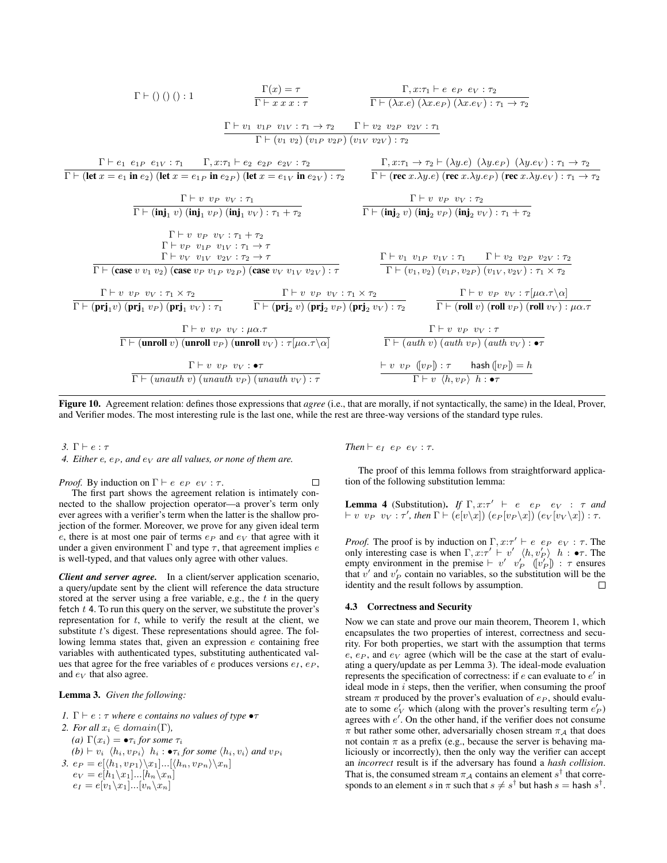| $\Gamma \vdash () () () : 1$                                                                                                                                                                                                        | $\Gamma(x) = \tau$<br>$\Gamma \vdash x \, x \, x : \tau$                                                                                                                                   | $\Gamma, x:\tau_1 \vdash e \ e_P \ e_V : \tau_2$<br>$\overline{\Gamma \vdash (\lambda x.e) (\lambda x.e_P)} (\lambda x.e_V) : \tau_1 \to \tau_2$                     |
|-------------------------------------------------------------------------------------------------------------------------------------------------------------------------------------------------------------------------------------|--------------------------------------------------------------------------------------------------------------------------------------------------------------------------------------------|----------------------------------------------------------------------------------------------------------------------------------------------------------------------|
|                                                                                                                                                                                                                                     | $\Gamma \vdash v_1 \ v_1_P \ v_1_V : \tau_1 \to \tau_2 \qquad \Gamma \vdash v_2 \ v_2_P \ v_2_V : \tau_1$<br>$\Gamma \vdash (v_1 \; v_2) \; (v_1_P \; v_2_P) \; (v_1_V \; v_2_V) : \tau_2$ |                                                                                                                                                                      |
| $\Gamma \vdash e_1 \ e_1_P \ e_1_V : \tau_1 \quad \Gamma, x : \tau_1 \vdash e_2 \ e_2_P \ e_2_V : \tau_2$                                                                                                                           |                                                                                                                                                                                            | $\Gamma, x:\tau_1 \to \tau_2 \vdash (\lambda y.e) (\lambda y.e_P) (\lambda y.e_V): \tau_1 \to \tau_2$                                                                |
| $\Gamma \vdash (\text{let } x = e_1 \text{ in } e_2)$ (let $x = e_1_P \text{ in } e_2_P$ ) (let $x = e_1_V \text{ in } e_2_V$ ) : $\tau_2$                                                                                          |                                                                                                                                                                                            | $\Gamma \vdash$ (rec x. $\lambda y.e$ ) (rec x. $\lambda y.e_P$ ) (rec x. $\lambda y.e_V$ ) : $\tau_1 \rightarrow \tau_2$                                            |
| $\Gamma \vdash v \ v_P \ v_V : \tau_1$                                                                                                                                                                                              |                                                                                                                                                                                            | $\Gamma \vdash v \ v_P \ v_V : \tau_2$                                                                                                                               |
| $\Gamma \vdash (\mathbf{inj}_1 \ v) (\mathbf{inj}_1 \ v_P) (\mathbf{inj}_1 \ v_V) : \tau_1 + \tau_2$                                                                                                                                |                                                                                                                                                                                            | $\Gamma \vdash (\mathbf{inj}_2 v) (\mathbf{inj}_2 v_P) (\mathbf{inj}_2 v_V) : \tau_1 + \tau_2$                                                                       |
| $\Gamma \vdash v \ v_P \ v_V : \tau_1 + \tau_2$<br>$\Gamma \vdash v_P \ v_1_P \ v_1_V : \tau_1 \rightarrow \tau$<br>$\Gamma \vdash v_V \ v_1_V \ v_2_V : \tau_2 \rightarrow \tau$                                                   |                                                                                                                                                                                            | $\Gamma \vdash v_1 \; v_1 \; p \; v_1 \; v \; : \; \tau_1 \qquad \Gamma \vdash v_2 \; v_2 \; p \; v_2 \; v \; : \; \tau_2$                                           |
| $\Gamma \vdash$ (case v v <sub>1</sub> v <sub>2</sub> ) (case v <sub>P</sub> v <sub>1</sub> p v <sub>2</sub> P) (case v <sub>V</sub> v <sub>1</sub> v <sub>2</sub> v) : $\tau$                                                      |                                                                                                                                                                                            | $\Gamma \vdash (v_1, v_2) (v_{1P}, v_{2P}) (v_{1V}, v_{2V}) : \tau_1 \times \tau_2$                                                                                  |
| $\Gamma \vdash v \ v_P \ v_V : \tau_1 \times \tau_2$<br>$\Gamma \vdash (\mathbf{prj}_1 v) (\mathbf{prj}_1 v_P) (\mathbf{prj}_1 v_V) : \tau_1$ $\Gamma \vdash (\mathbf{prj}_2 v) (\mathbf{prj}_2 v_P) (\mathbf{prj}_2 v_V) : \tau_2$ | $\Gamma \vdash v \ v_P \ v_V : \tau_1 \times \tau_2$                                                                                                                                       | $\Gamma \vdash v \ v_P \ v_V : \tau[\mu \alpha.\tau \backslash \alpha]$<br>$\Gamma \vdash (\text{roll } v) (\text{roll } v_P) (\text{roll } v_V) : \mu \alpha. \tau$ |
| $\Gamma \vdash v \ v_P \ v_V : \mu \alpha. \tau$<br>$\Gamma \vdash$ (unroll v) (unroll v <sub>P</sub> ) (unroll v <sub>V</sub> ) : $\tau[\mu\alpha.\tau\backslash\alpha]$                                                           |                                                                                                                                                                                            | $\Gamma \vdash v\ v_P\ v_V : \tau$<br>$\Gamma \vdash (auth \ v) \ (auth \ v_P) \ (auth \ v_V) : \bullet \tau$                                                        |
| $\Gamma \vdash v \ v_P \ v_V : \bullet \tau$<br>$\Gamma \vdash (unauth\ v)\ (unauth\ vp)\ (unauth\ vv) : \tau$                                                                                                                      |                                                                                                                                                                                            | $\vdash v \ v_P \ (v_P) : \tau$ hash $(v_P) = h$<br>$\Gamma \vdash v \langle h, v_P \rangle h : \bullet \tau$                                                        |

Figure 10. Agreement relation: defines those expressions that *agree* (i.e., that are morally, if not syntactically, the same) in the Ideal, Prover, and Verifier modes. The most interesting rule is the last one, while the rest are three-way versions of the standard type rules.

*3.*  $\Gamma \vdash e : \tau$ 

*4. Either e, e<sub>P</sub>, and e<sub>V</sub> are all values, or none of them are.* 

*Proof.* By induction on  $\Gamma \vdash e \, e_P \, e_V : \tau$ .  $\Box$ 

The first part shows the agreement relation is intimately connected to the shallow projection operator—a prover's term only ever agrees with a verifier's term when the latter is the shallow projection of the former. Moreover, we prove for any given ideal term e, there is at most one pair of terms  $e_P$  and  $e_V$  that agree with it under a given environment  $\Gamma$  and type  $\tau$ , that agreement implies e is well-typed, and that values only agree with other values.

*Client and server agree.* In a client/server application scenario, a query/update sent by the client will reference the data structure stored at the server using a free variable, e.g., the  $t$  in the query fetch  $t$  4. To run this query on the server, we substitute the prover's representation for  $t$ , while to verify the result at the client, we substitute t's digest. These representations should agree. The following lemma states that, given an expression e containing free variables with authenticated types, substituting authenticated values that agree for the free variables of  $e$  produces versions  $e_I, e_P$ , and  $e_V$  that also agree.

#### Lemma 3. *Given the following:*

- *1.*  $\Gamma \vdash e : \tau$  *where e contains no values of type*  $\bullet \tau$
- *2. For all*  $x_i \in domain(\Gamma)$ ,
- *(a)*  $\Gamma(x_i) = \bullet \tau_i$  *for some*  $\tau_i$  $(b) \vdash v_i \langle h_i, v_{Pi} \rangle h_i : \bullet \tau_i$  *for some*  $\langle h_i, v_i \rangle$  *and*  $v_{Pi}$ *3.*  $e_P = e[\langle h_1, v_{P1} \rangle \backslash x_1] \dots [\langle h_n, v_{Pn} \rangle \backslash x_n]$  $e_V = e[h_1\backslash x_1]...[h_n\backslash x_n]$  $e_I = e[v_1\backslash x_1]...[v_n\backslash x_n]$

*Then*  $\vdash e_I \neq e_P \neq \ldots \uparrow$ .

The proof of this lemma follows from straightforward application of the following substitution lemma:

**Lemma 4** (Substitution). *If*  $\Gamma, x : \tau' \vdash e \quad e_P \quad e_V : \tau$  *and*  $\vdash v \ v_P \ v_V : \tau'$ , then  $\Gamma \vdash (e[v \setminus x]) (e_P[v_P \setminus x]) (e_V[v_V \setminus x]) : \tau$ .

*Proof.* The proof is by induction on  $\Gamma, x : \tau' \vdash e \, e_P \, e_V : \tau$ . The only interesting case is when  $\Gamma, x : \tau' \vdash v' \langle h, v'_P \rangle \; h : \bullet \tau$ . The empty environment in the premise  $\vdash v'$   $v'_P$   $([v'_P])$  :  $\tau$  ensures that  $v'$  and  $v'_P$  contain no variables, so the substitution will be the identity and the result follows by assumption.  $\Box$ 

#### 4.3 Correctness and Security

Now we can state and prove our main theorem, Theorem 1, which encapsulates the two properties of interest, correctness and security. For both properties, we start with the assumption that terms e,  $e_P$ , and  $e_V$  agree (which will be the case at the start of evaluating a query/update as per Lemma 3). The ideal-mode evaluation represents the specification of correctness: if  $e$  can evaluate to  $e'$  in ideal mode in  $i$  steps, then the verifier, when consuming the proof stream  $\pi$  produced by the prover's evaluation of  $e_P$ , should evaluate to some  $e'_V$  which (along with the prover's resulting term  $e'_P$ ) agrees with  $e'$ . On the other hand, if the verifier does not consume  $\pi$  but rather some other, adversarially chosen stream  $\pi_A$  that does not contain  $\pi$  as a prefix (e.g., because the server is behaving maliciously or incorrectly), then the only way the verifier can accept an *incorrect* result is if the adversary has found a *hash collision*. That is, the consumed stream  $\pi_A$  contains an element  $s^{\dagger}$  that corresponds to an element s in  $\pi$  such that  $s \neq s^{\dagger}$  but hash  $s =$  hash  $s^{\dagger}$ .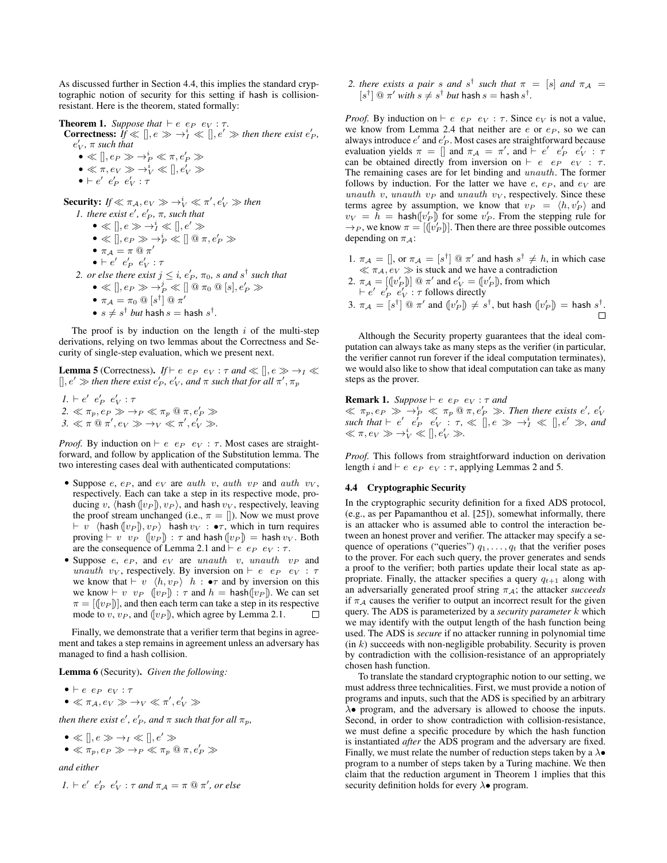As discussed further in Section 4.4, this implies the standard cryptographic notion of security for this setting if hash is collisionresistant. Here is the theorem, stated formally:

**Theorem 1.** *Suppose that*  $\vdash e \ e_P \ e_V : \tau$ . **Correctness:**  $\hat{H} \ll ||, e \gg \rightarrow_I^i \ll ||, e' \gg \hat{H}$  then there exist  $e'_P$ ,  $e'_V$ ,  $\pi$  such that  $\bullet\ll[],e_P\gg\to^i_P\ll\pi,e'_P\gg$  $\bullet \ll \pi, e_V \gg \rightarrow_V^i \ll [] , e_V' \gg$  $\bullet \vdash e' \, e'_P \, e'_V : \tau$ **Security:** If  $\ll \pi_{\mathcal{A}}, e_V \gg \rightarrow_V^i \ll \pi', e_V' \gg$  then *1. there exist e', e'p,*  $\pi$ *, such that*  $\bullet\ll[] , e\gg\to^i_I\ll[] , e'\gg$  $\bullet\ll[],e_P\gg\to^i_P\ll[\,]\, @ \, \pi,e'_P\gg$  $\bullet$   $\pi_{\mathcal{A}} = \pi \circledcirc \pi'$  $\bullet \vdash e' \, e'_P \, e'_V : \tau$ 2. *or else there exist*  $j \leq i$ ,  $e'_{P}$ ,  $\pi_0$ , *s and*  $s^{\dagger}$  *such that*  $\bullet \ll [] , e_P \gg \rightarrow_P^j \ll [] @ \pi_0 @ [s], e'_P \gg$  $\bullet$   $\pi_{\mathcal{A}} = \pi_{0} \circledcirc [s^{\dagger}] \circledcirc \pi'$  $\bullet \; s \neq s^{\dagger} \; but \; \textsf{hash} \; s = \textsf{hash} \; s^{\dagger}.$ 

The proof is by induction on the length  $i$  of the multi-step derivations, relying on two lemmas about the Correctness and Security of single-step evaluation, which we present next.

**Lemma 5** (Correctness). *If*  $\vdash e \text{ } e_P \text{ } e_V : \tau \text{ and } \ll \parallel, e \gg \rightarrow_I \ll$  $[$ ],  $e' \gg$  *then there exist*  $e'_{P}$ ,  $e'_{V}$ , and  $\pi$  *such that for all*  $\pi'$ ,  $\pi_{p}$ 

 $l. \vdash e' \cdot e'_{P} \cdot e'_{V} : \tau$ *2.* πp, e<sup>P</sup> →<sup>P</sup> π<sup>p</sup> @ π, e<sup>0</sup> <sup>P</sup>  $3. \ll \pi \t0. \pi', e_V \gg \rightarrow_V \ll \pi', e'_V \gg.$ 

*Proof.* By induction on  $\vdash e \, e_P \, e_V : \tau$ . Most cases are straightforward, and follow by application of the Substitution lemma. The two interesting cases deal with authenticated computations:

- Suppose e, e<sub>P</sub>, and e<sub>V</sub> are *auth* v, *auth*  $v_P$  and *auth*  $v_V$ , respectively. Each can take a step in its respective mode, producing v,  $\langle$  hash  $[|v_P |]$ ,  $|v_P \rangle$ , and hash  $v_V$ , respectively, leaving the proof stream unchanged (i.e.,  $\pi = []$ ). Now we must prove  $\vdash \hat{v}$  (hash  $( [v_P ]), v_P \rangle$  hash  $v_V : \bullet \tau$ , which in turn requires proving  $\vdash v$   $v_P$  ( $[v_P]$ ) :  $\tau$  and hash ( $[v_P]$ ) = hash  $v_V$ . Both are the consequence of Lemma 2.1 and  $\vdash e \, e_P \, e_V : \tau$ .
- Suppose  $e$ ,  $e_P$ , and  $e_V$  are unauth v, unauth v<sub>P</sub> and unauth  $v_V$ , respectively. By inversion on  $\vdash e \, e_P \, e_V : \tau$ we know that  $\vdash v \langle h, v_P \rangle$   $h : \bullet \tau$  and by inversion on this we know  $\vdash v \ v_P \ (\vert v_P \vert) : \tau$  and  $h = \mathsf{hash}(\vert v_P \vert)$ . We can set  $\pi = [(\nu_P)]$ , and then each term can take a step in its respective mode to  $v, v_P$ , and  $( [v_P ] )$ , which agree by Lemma 2.1. П

Finally, we demonstrate that a verifier term that begins in agreement and takes a step remains in agreement unless an adversary has managed to find a hash collision.

Lemma 6 (Security). *Given the following:*

- $\bullet \vdash e \, e_P \, e_V : \tau$
- $\bullet\ll\pi_{\mathcal{A}},e_{V}\gg\rightarrow_{V}\ll\pi',e'_{V}\gg$

*then there exist*  $e', e'_{P}$ *, and*  $\pi$  *such that for all*  $\pi_{p}$ *,* 

- $\leq$   $|, e \gg \rightarrow_{I} \leq$   $|, e' \gg$
- $\bullet \ll \pi_p, e_P \gg \rightarrow_P \ll \pi_p \ @ \ \pi, e'_P \gg$

*and either*

$$
I. \vdash e' \, e'_P \, e'_V : \tau \text{ and } \pi_A = \pi \, @ \, \pi', \text{ or else}
$$

2. *there exists a pair s and*  $s^{\dagger}$  *such that*  $\pi = [s]$  *and*  $\pi_{\mathcal{A}} =$  $[s^{\dagger}] \t\t\t\t@ \t\t\t\pi' \t\t\twith \t\t\ts \neq s^{\dagger} \t\t\tbut \t\t\t\thash \t\t\ts = hash \t\t\ts^{\dagger}.$ 

*Proof.* By induction on  $\vdash e \, e_P \, e_V : \tau$ . Since  $e_V$  is not a value, we know from Lemma 2.4 that neither are  $e$  or  $e_P$ , so we can always introduce  $e'$  and  $e'_{P}$ . Most cases are straightforward because evaluation yields  $\pi = \left[\right]$  and  $\pi_A = \pi'$ , and  $\overline{\vdash} e' e'_{P} e'_{V} : \tau$ can be obtained directly from inversion on  $\vdash e \quad e_P \quad e_V : \tau$ . The remaining cases are for let binding and unauth. The former follows by induction. For the latter we have  $e$ ,  $e_P$ , and  $e_V$  are unauth v, unauth  $v_P$  and unauth  $v_V$ , respectively. Since these terms agree by assumption, we know that  $v_P = \langle h, v_P \rangle$  and  $v_V = \bar{h}$  = hash $[v_P']$  for some  $v_P'$ . From the stepping rule for  $\rightarrow P$ , we know  $\pi = [(\bar{v}'_P)]$ . Then there are three possible outcomes depending on  $\pi_A$ :

1.  $\pi_{\mathcal{A}} = []$ , or  $\pi_{\mathcal{A}} = [s^{\dagger}] \circledcirc \pi'$  and hash  $s^{\dagger} \neq h$ , in which case  $\ll \pi_A, e_V \gg$  is stuck and we have a contradiction 2.  $\pi_{\mathcal{A}} = [({v}'_P)] \t\t@ \pi'$  and  $e'_V = ({v}'_P)$ , from which  $\vdash e' e'_{P} e'_{V}$ :  $\tau$  follows directly 3.  $\pi_{\mathcal{A}} = [s^{\dagger}] \ @ \ \pi' \ \text{and} \ \left( [v'_P] \right) \neq s^{\dagger}, \text{ but hash } \left( [v'_P] \right) = \text{hash } s^{\dagger}.$ П

Although the Security property guarantees that the ideal computation can always take as many steps as the verifier (in particular, the verifier cannot run forever if the ideal computation terminates), we would also like to show that ideal computation can take as many steps as the prover.

**Remark 1.** *Suppose*  $\vdash e \text{ } e_P \text{ } e_V : \tau \text{ and }$ 

 $\ll \pi_p, e_P \gg \rightarrow_P^i \ll \pi_p \t M_p, e'_P \gg$ . Then there exists  $e', e'_V$ <br>such that  $\vdash e' \te'_P \te'_V : \tau, \ll []$ ,  $e \gg \rightarrow_I^i \ll []$ ,  $e' \gg$ , and  $\ll \pi, e_V \gg \rightarrow_V^i \ll [] , e_V' \gg.$ 

*Proof.* This follows from straightforward induction on derivation length i and  $\vdash e \, e_P \, e_V : \tau$ , applying Lemmas 2 and 5.

#### 4.4 Cryptographic Security

In the cryptographic security definition for a fixed ADS protocol, (e.g., as per Papamanthou et al. [25]), somewhat informally, there is an attacker who is assumed able to control the interaction between an honest prover and verifier. The attacker may specify a sequence of operations ("queries")  $q_1, \ldots, q_t$  that the verifier poses to the prover. For each such query, the prover generates and sends a proof to the verifier; both parties update their local state as appropriate. Finally, the attacker specifies a query  $q_{t+1}$  along with an adversarially generated proof string  $\pi_A$ ; the attacker *succeeds* if  $\pi_A$  causes the verifier to output an incorrect result for the given query. The ADS is parameterized by a *security parameter* k which we may identify with the output length of the hash function being used. The ADS is *secure* if no attacker running in polynomial time  $(in k)$  succeeds with non-negligible probability. Security is proven by contradiction with the collision-resistance of an appropriately chosen hash function.

To translate the standard cryptographic notion to our setting, we must address three technicalities. First, we must provide a notion of programs and inputs, such that the ADS is specified by an arbitrary  $\lambda$ • program, and the adversary is allowed to choose the inputs. Second, in order to show contradiction with collision-resistance, we must define a specific procedure by which the hash function is instantiated *after* the ADS program and the adversary are fixed. Finally, we must relate the number of reduction steps taken by a  $\lambda \bullet$ program to a number of steps taken by a Turing machine. We then claim that the reduction argument in Theorem 1 implies that this security definition holds for every  $\lambda \bullet$  program.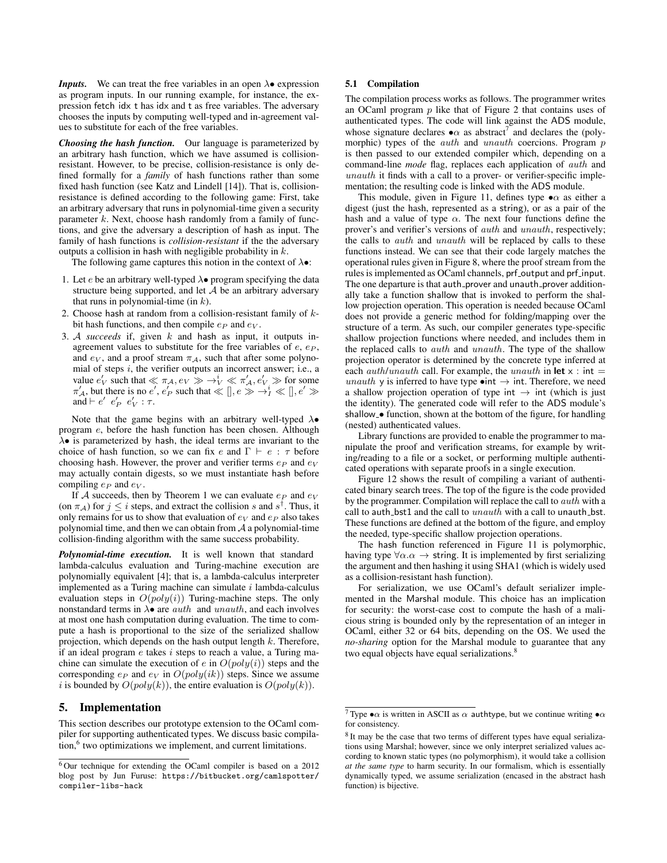*Inputs.* We can treat the free variables in an open  $\lambda \bullet$  expression as program inputs. In our running example, for instance, the expression fetch idx t has idx and t as free variables. The adversary chooses the inputs by computing well-typed and in-agreement values to substitute for each of the free variables.

*Choosing the hash function.* Our language is parameterized by an arbitrary hash function, which we have assumed is collisionresistant. However, to be precise, collision-resistance is only defined formally for a *family* of hash functions rather than some fixed hash function (see Katz and Lindell [14]). That is, collisionresistance is defined according to the following game: First, take an arbitrary adversary that runs in polynomial-time given a security parameter  $k$ . Next, choose hash randomly from a family of functions, and give the adversary a description of hash as input. The family of hash functions is *collision-resistant* if the the adversary outputs a collision in hash with negligible probability in  $k$ .

The following game captures this notion in the context of  $\lambda \bullet$ :

- 1. Let *e* be an arbitrary well-typed  $\lambda \bullet$  program specifying the data structure being supported, and let  $A$  be an arbitrary adversary that runs in polynomial-time (in  $k$ ).
- 2. Choose hash at random from a collision-resistant family of  $k$ bit hash functions, and then compile  $e_P$  and  $e_V$ .
- 3. A *succeeds* if, given k and hash as input, it outputs inagreement values to substitute for the free variables of  $e$ ,  $e_P$ , and  $e_V$ , and a proof stream  $\pi_A$ , such that after some polynomial of steps i, the verifier outputs an incorrect answer; i.e., a value  $e'_V$  such that  $\ll \pi_A, e_V \gg \rightarrow_V^i \ll \pi'_A, e'_V \gg$  for some  $\pi'_A$ , but there is no e', e'<sub>P</sub> such that  $\ll \llbracket 0, e \gg \rightarrow_I^i \ll \llbracket 0, e' \gg$ and  $\vdash e' e'_{P} e'_{V} : \tau$ .

Note that the game begins with an arbitrary well-typed  $\lambda \bullet$ program e, before the hash function has been chosen. Although  $\lambda \bullet$  is parameterized by hash, the ideal terms are invariant to the choice of hash function, so we can fix e and  $\Gamma \vdash e : \tau$  before choosing hash. However, the prover and verifier terms  $e_P$  and  $e_V$ may actually contain digests, so we must instantiate hash before compiling  $e_P$  and  $e_V$ .

If  $A$  succeeds, then by Theorem 1 we can evaluate  $e_P$  and  $e_V$ (on  $\pi_A$ ) for  $j \leq i$  steps, and extract the collision s and  $s^{\dagger}$ . Thus, it only remains for us to show that evaluation of  $e_V$  and  $e_P$  also takes polynomial time, and then we can obtain from  $A$  a polynomial-time collision-finding algorithm with the same success probability.

*Polynomial-time execution.* It is well known that standard lambda-calculus evaluation and Turing-machine execution are polynomially equivalent [4]; that is, a lambda-calculus interpreter implemented as a Turing machine can simulate  $i$  lambda-calculus evaluation steps in  $O(poly(i))$  Turing-machine steps. The only nonstandard terms in  $\lambda \bullet$  are *auth* and *unauth*, and each involves at most one hash computation during evaluation. The time to compute a hash is proportional to the size of the serialized shallow projection, which depends on the hash output length k. Therefore, if an ideal program  $e$  takes  $i$  steps to reach a value, a Turing machine can simulate the execution of e in  $O(poly(i))$  steps and the corresponding  $e_P$  and  $e_V$  in  $O(poly(ik))$  steps. Since we assume i is bounded by  $O(poly(k))$ , the entire evaluation is  $O(poly(k))$ .

## 5. Implementation

This section describes our prototype extension to the OCaml compiler for supporting authenticated types. We discuss basic compilation,<sup>6</sup> two optimizations we implement, and current limitations.

### 5.1 Compilation

The compilation process works as follows. The programmer writes an OCaml program  $p$  like that of Figure 2 that contains uses of authenticated types. The code will link against the ADS module, whose signature declares  $\bullet \alpha$  as abstract<sup>7</sup> and declares the (polymorphic) types of the *auth* and *unauth* coercions. Program  $p$ is then passed to our extended compiler which, depending on a command-line *mode* flag, replaces each application of auth and unauth it finds with a call to a prover- or verifier-specific implementation; the resulting code is linked with the ADS module.

This module, given in Figure 11, defines type  $\bullet \alpha$  as either a digest (just the hash, represented as a string), or as a pair of the hash and a value of type  $\alpha$ . The next four functions define the prover's and verifier's versions of auth and unauth, respectively; the calls to auth and unauth will be replaced by calls to these functions instead. We can see that their code largely matches the operational rules given in Figure 8, where the proof stream from the rules is implemented as OCaml channels, prf\_output and prf\_input. The one departure is that auth prover and unauth prover additionally take a function shallow that is invoked to perform the shallow projection operation. This operation is needed because OCaml does not provide a generic method for folding/mapping over the structure of a term. As such, our compiler generates type-specific shallow projection functions where needed, and includes them in the replaced calls to auth and unauth. The type of the shallow projection operator is determined by the concrete type inferred at each *auth/unauth* call. For example, the *unauth* in **let**  $x : int =$ unauth y is inferred to have type •int  $\rightarrow$  int. Therefore, we need a shallow projection operation of type int  $\rightarrow$  int (which is just the identity). The generated code will refer to the ADS module's shallow  $\bullet$  function, shown at the bottom of the figure, for handling (nested) authenticated values.

Library functions are provided to enable the programmer to manipulate the proof and verification streams, for example by writing/reading to a file or a socket, or performing multiple authenticated operations with separate proofs in a single execution.

Figure 12 shows the result of compiling a variant of authenticated binary search trees. The top of the figure is the code provided by the programmer. Compilation will replace the call to auth with a call to auth  $bst1$  and the call to  $unauth$  with a call to unauth  $bst.$ These functions are defined at the bottom of the figure, and employ the needed, type-specific shallow projection operations.

The hash function referenced in Figure 11 is polymorphic, having type  $\forall \alpha \cdot \alpha \rightarrow$  string. It is implemented by first serializing the argument and then hashing it using SHA1 (which is widely used as a collision-resistant hash function).

For serialization, we use OCaml's default serializer implemented in the Marshal module. This choice has an implication for security: the worst-case cost to compute the hash of a malicious string is bounded only by the representation of an integer in OCaml, either 32 or 64 bits, depending on the OS. We used the *no-sharing* option for the Marshal module to guarantee that any two equal objects have equal serializations.<sup>8</sup>

<sup>6</sup> Our technique for extending the OCaml compiler is based on a 2012 blog post by Jun Furuse: https://bitbucket.org/camlspotter/ compiler-libs-hack

<sup>&</sup>lt;sup>7</sup> Type • $\alpha$  is written in ASCII as  $\alpha$  authtype, but we continue writing • $\alpha$ for consistency.

<sup>&</sup>lt;sup>8</sup> It may be the case that two terms of different types have equal serializations using Marshal; however, since we only interpret serialized values according to known static types (no polymorphism), it would take a collision *at the same type* to harm security. In our formalism, which is essentially dynamically typed, we assume serialization (encased in the abstract hash function) is bijective.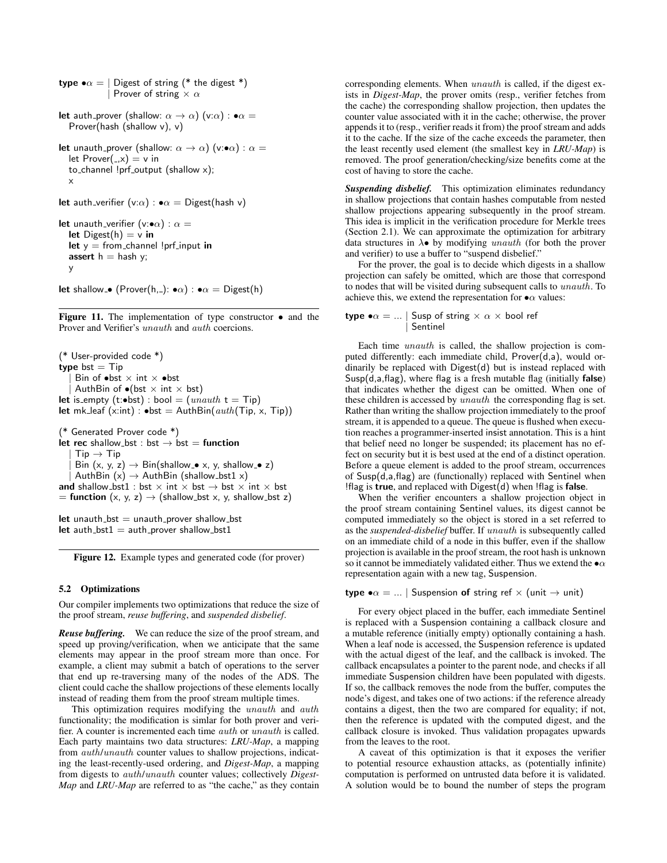```
type \bullet \alpha = |\text{ Digest of string }(*\text{ the digest }*)| Prover of string \times \alphalet auth prover (shallow: \alpha \rightarrow \alpha) (v:\alpha) : \bullet \alpha =
   Prover(hash (shallow v), v)
let unauth prover (shallow: \alpha \rightarrow \alpha) (v:\bullet \alpha) : \alpha =let Prover(\_,x) = v in
   to channel !prf output (shallow x);
   x
let auth verifier (v:\alpha): \bullet \alpha = \text{Digest}(\text{hash } v)let unauth_verifier (v:\bullet \alpha) : \alpha =
```

```
let Digest(h) = v in
let y = from channel !prf input in
assert h = hash y;
y
```
**let** shallow • (Prover(h, \_):  $\bullet \alpha$ ) :  $\bullet \alpha$  = Digest(h)

Figure 11. The implementation of type constructor • and the Prover and Verifier's unauth and auth coercions.

(\* User-provided code \*) type  $bst = Tip$ Bin of  $\bullet$ bst  $\times$  int  $\times$   $\bullet$ bst AuthBin of  $\bullet$ (bst  $\times$  int  $\times$  bst) let is empty (t: $\bullet$ bst) : bool = (unauth t = Tip) let mk leaf (x:int) :  $\bullet$ bst = AuthBin( $auth(Tip, x, Tip)$ ) (\* Generated Prover code \*) let rec shallow\_bst : bst  $\rightarrow$  bst = function  $Tip \rightarrow Tip$ Bin  $(x, y, z) \rightarrow Bin(shallow\_• x, y, shallow\_• z)$ AuthBin  $(x) \rightarrow$  AuthBin (shallow\_bst1 x)

and shallow\_bst1 : bst  $\times$  int  $\times$  bst  $\rightarrow$  bst  $\times$  int  $\times$  bst  $=$  function  $(x, y, z) \rightarrow$  (shallow bst x, y, shallow bst z)

 $let$  unauth\_bst  $=$  unauth\_prover shallow\_bst let auth  $bst1 = author$  prover shallow bst1

Figure 12. Example types and generated code (for prover)

#### 5.2 Optimizations

Our compiler implements two optimizations that reduce the size of the proof stream, *reuse buffering*, and *suspended disbelief*.

*Reuse buffering.* We can reduce the size of the proof stream, and speed up proving/verification, when we anticipate that the same elements may appear in the proof stream more than once. For example, a client may submit a batch of operations to the server that end up re-traversing many of the nodes of the ADS. The client could cache the shallow projections of these elements locally instead of reading them from the proof stream multiple times.

This optimization requires modifying the *unauth* and *auth* functionality; the modification is simlar for both prover and verifier. A counter is incremented each time auth or unauth is called. Each party maintains two data structures: *LRU-Map*, a mapping from auth/unauth counter values to shallow projections, indicating the least-recently-used ordering, and *Digest-Map*, a mapping from digests to auth/unauth counter values; collectively *Digest-Map* and *LRU-Map* are referred to as "the cache," as they contain corresponding elements. When unauth is called, if the digest exists in *Digest-Map*, the prover omits (resp., verifier fetches from the cache) the corresponding shallow projection, then updates the counter value associated with it in the cache; otherwise, the prover appends it to (resp., verifier reads it from) the proof stream and adds it to the cache. If the size of the cache exceeds the parameter, then the least recently used element (the smallest key in *LRU-Map*) is removed. The proof generation/checking/size benefits come at the cost of having to store the cache.

*Suspending disbelief.* This optimization eliminates redundancy in shallow projections that contain hashes computable from nested shallow projections appearing subsequently in the proof stream. This idea is implicit in the verification procedure for Merkle trees (Section 2.1). We can approximate the optimization for arbitrary data structures in  $\lambda \bullet$  by modifying *unauth* (for both the prover and verifier) to use a buffer to "suspend disbelief."

For the prover, the goal is to decide which digests in a shallow projection can safely be omitted, which are those that correspond to nodes that will be visited during subsequent calls to unauth. To achieve this, we extend the representation for  $\bullet \alpha$  values:

#### type  $\bullet \alpha = \dots$  | Susp of string  $\times \alpha \times$  bool ref | Sentinel

Each time unauth is called, the shallow projection is computed differently: each immediate child, Prover(d,a), would ordinarily be replaced with Digest(d) but is instead replaced with  $Susp(d,a,flag)$ , where flag is a fresh mutable flag (initially false) that indicates whether the digest can be omitted. When one of these children is accessed by *unauth* the corresponding flag is set. Rather than writing the shallow projection immediately to the proof stream, it is appended to a queue. The queue is flushed when execution reaches a programmer-inserted insist annotation. This is a hint that belief need no longer be suspended; its placement has no effect on security but it is best used at the end of a distinct operation. Before a queue element is added to the proof stream, occurrences of Susp(d,a,flag) are (functionally) replaced with Sentinel when !flag is true, and replaced with Digest(d) when !flag is false.

When the verifier encounters a shallow projection object in the proof stream containing Sentinel values, its digest cannot be computed immediately so the object is stored in a set referred to as the *suspended-disbelief* buffer. If unauth is subsequently called on an immediate child of a node in this buffer, even if the shallow projection is available in the proof stream, the root hash is unknown so it cannot be immediately validated either. Thus we extend the  $\bullet \alpha$ representation again with a new tag, Suspension.

# type  $\bullet \alpha = \dots$  | Suspension of string ref  $\times$  (unit  $\rightarrow$  unit)

For every object placed in the buffer, each immediate Sentinel is replaced with a Suspension containing a callback closure and a mutable reference (initially empty) optionally containing a hash. When a leaf node is accessed, the Suspension reference is updated with the actual digest of the leaf, and the callback is invoked. The callback encapsulates a pointer to the parent node, and checks if all immediate Suspension children have been populated with digests. If so, the callback removes the node from the buffer, computes the node's digest, and takes one of two actions: if the reference already contains a digest, then the two are compared for equality; if not, then the reference is updated with the computed digest, and the callback closure is invoked. Thus validation propagates upwards from the leaves to the root.

A caveat of this optimization is that it exposes the verifier to potential resource exhaustion attacks, as (potentially infinite) computation is performed on untrusted data before it is validated. A solution would be to bound the number of steps the program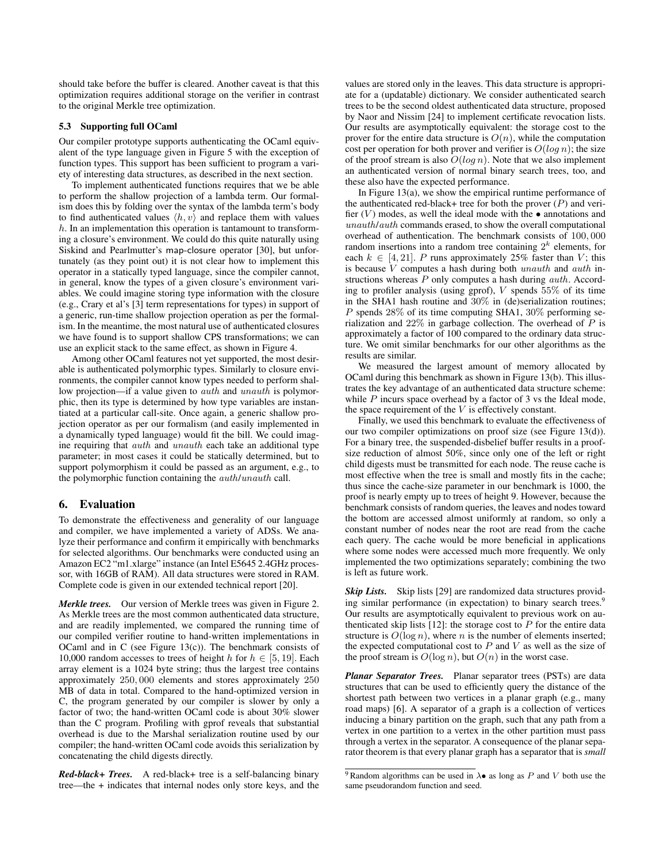should take before the buffer is cleared. Another caveat is that this optimization requires additional storage on the verifier in contrast to the original Merkle tree optimization.

# 5.3 Supporting full OCaml

Our compiler prototype supports authenticating the OCaml equivalent of the type language given in Figure 5 with the exception of function types. This support has been sufficient to program a variety of interesting data structures, as described in the next section.

To implement authenticated functions requires that we be able to perform the shallow projection of a lambda term. Our formalism does this by folding over the syntax of the lambda term's body to find authenticated values  $\langle h, v \rangle$  and replace them with values  $h$ . In an implementation this operation is tantamount to transforming a closure's environment. We could do this quite naturally using Siskind and Pearlmutter's map-closure operator [30], but unfortunately (as they point out) it is not clear how to implement this operator in a statically typed language, since the compiler cannot, in general, know the types of a given closure's environment variables. We could imagine storing type information with the closure (e.g., Crary et al's [3] term representations for types) in support of a generic, run-time shallow projection operation as per the formalism. In the meantime, the most natural use of authenticated closures we have found is to support shallow CPS transformations; we can use an explicit stack to the same effect, as shown in Figure 4.

Among other OCaml features not yet supported, the most desirable is authenticated polymorphic types. Similarly to closure environments, the compiler cannot know types needed to perform shallow projection—if a value given to *auth* and *unauth* is polymorphic, then its type is determined by how type variables are instantiated at a particular call-site. Once again, a generic shallow projection operator as per our formalism (and easily implemented in a dynamically typed language) would fit the bill. We could imagine requiring that *auth* and *unauth* each take an additional type parameter; in most cases it could be statically determined, but to support polymorphism it could be passed as an argument, e.g., to the polymorphic function containing the auth/unauth call.

# 6. Evaluation

To demonstrate the effectiveness and generality of our language and compiler, we have implemented a variety of ADSs. We analyze their performance and confirm it empirically with benchmarks for selected algorithms. Our benchmarks were conducted using an Amazon EC2 "m1.xlarge" instance (an Intel E5645 2.4GHz processor, with 16GB of RAM). All data structures were stored in RAM. Complete code is given in our extended technical report [20].

*Merkle trees.* Our version of Merkle trees was given in Figure 2. As Merkle trees are the most common authenticated data structure, and are readily implemented, we compared the running time of our compiled verifier routine to hand-written implementations in OCaml and in C (see Figure  $13(c)$ ). The benchmark consists of 10,000 random accesses to trees of height h for  $h \in [5, 19]$ . Each array element is a 1024 byte string; thus the largest tree contains approximately 250, 000 elements and stores approximately 250 MB of data in total. Compared to the hand-optimized version in C, the program generated by our compiler is slower by only a factor of two; the hand-written OCaml code is about 30% slower than the C program. Profiling with gprof reveals that substantial overhead is due to the Marshal serialization routine used by our compiler; the hand-written OCaml code avoids this serialization by concatenating the child digests directly.

*Red-black+ Trees.* A red-black+ tree is a self-balancing binary tree—the + indicates that internal nodes only store keys, and the

values are stored only in the leaves. This data structure is appropriate for a (updatable) dictionary. We consider authenticated search trees to be the second oldest authenticated data structure, proposed by Naor and Nissim [24] to implement certificate revocation lists. Our results are asymptotically equivalent: the storage cost to the prover for the entire data structure is  $O(n)$ , while the computation cost per operation for both prover and verifier is  $O(log n)$ ; the size of the proof stream is also  $O(log n)$ . Note that we also implement an authenticated version of normal binary search trees, too, and these also have the expected performance.

In Figure 13(a), we show the empirical runtime performance of the authenticated red-black+ tree for both the prover  $(P)$  and verifier  $(V)$  modes, as well the ideal mode with the  $\bullet$  annotations and unauth/auth commands erased, to show the overall computational overhead of authentication. The benchmark consists of 100, 000 random insertions into a random tree containing  $2^k$  elements, for each  $k \in [4, 21]$ . P runs approximately 25% faster than V; this is because V computes a hash during both unauth and auth instructions whereas P only computes a hash during *auth*. According to profiler analysis (using gprof),  $V$  spends  $55\%$  of its time in the SHA1 hash routine and 30% in (de)serialization routines; P spends 28% of its time computing SHA1, 30% performing serialization and  $22\%$  in garbage collection. The overhead of  $P$  is approximately a factor of 100 compared to the ordinary data structure. We omit similar benchmarks for our other algorithms as the results are similar.

We measured the largest amount of memory allocated by OCaml during this benchmark as shown in Figure 13(b). This illustrates the key advantage of an authenticated data structure scheme: while  $P$  incurs space overhead by a factor of 3 vs the Ideal mode, the space requirement of the  $V$  is effectively constant.

Finally, we used this benchmark to evaluate the effectiveness of our two compiler optimizations on proof size (see Figure 13(d)). For a binary tree, the suspended-disbelief buffer results in a proofsize reduction of almost 50%, since only one of the left or right child digests must be transmitted for each node. The reuse cache is most effective when the tree is small and mostly fits in the cache; thus since the cache-size parameter in our benchmark is 1000, the proof is nearly empty up to trees of height 9. However, because the benchmark consists of random queries, the leaves and nodes toward the bottom are accessed almost uniformly at random, so only a constant number of nodes near the root are read from the cache each query. The cache would be more beneficial in applications where some nodes were accessed much more frequently. We only implemented the two optimizations separately; combining the two is left as future work.

*Skip Lists.* Skip lists [29] are randomized data structures providing similar performance (in expectation) to binary search trees.<sup>9</sup> Our results are asymptotically equivalent to previous work on authenticated skip lists  $[12]$ : the storage cost to  $P$  for the entire data structure is  $O(\log n)$ , where *n* is the number of elements inserted; the expected computational cost to  $P$  and  $V$  as well as the size of the proof stream is  $O(\log n)$ , but  $O(n)$  in the worst case.

*Planar Separator Trees.* Planar separator trees (PSTs) are data structures that can be used to efficiently query the distance of the shortest path between two vertices in a planar graph (e.g., many road maps) [6]. A separator of a graph is a collection of vertices inducing a binary partition on the graph, such that any path from a vertex in one partition to a vertex in the other partition must pass through a vertex in the separator. A consequence of the planar separator theorem is that every planar graph has a separator that is *small*

<sup>&</sup>lt;sup>9</sup> Random algorithms can be used in  $\lambda \bullet$  as long as P and V both use the same pseudorandom function and seed.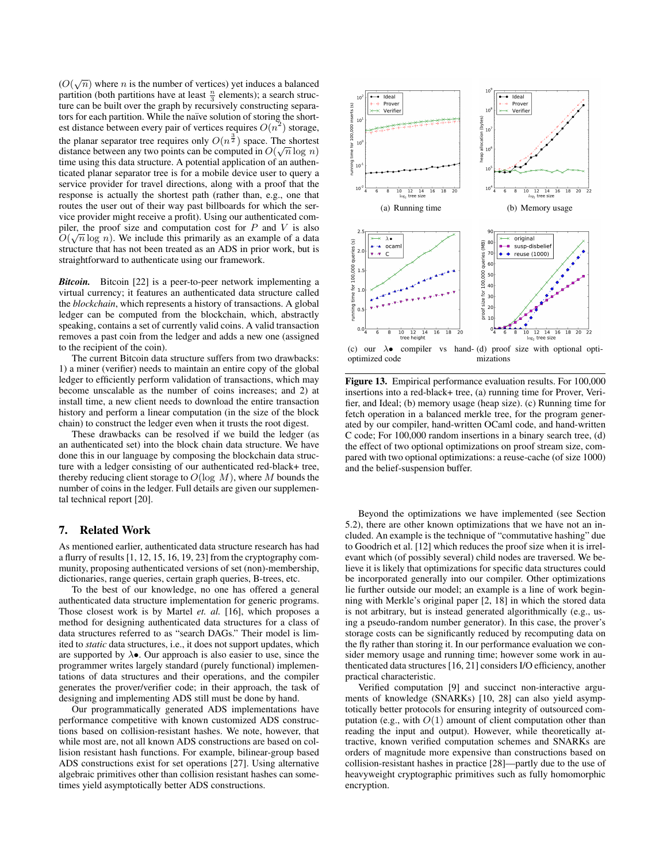$(O(\sqrt{n})$  where *n* is the number of vertices) yet induces a balanced partition (both partitions have at least  $\frac{n}{3}$  elements); a search structure can be built over the graph by recursively constructing separators for each partition. While the naïve solution of storing the shortest distance between every pair of vertices requires  $O(n^2)$  storage, the planar separator tree requires only  $O(n^{\frac{3}{2}})$  space. The shortest distance between any two points can be computed in  $O(\sqrt{n}\log n)$ time using this data structure. A potential application of an authenticated planar separator tree is for a mobile device user to query a service provider for travel directions, along with a proof that the response is actually the shortest path (rather than, e.g., one that routes the user out of their way past billboards for which the service provider might receive a profit). Using our authenticated compiler, the proof size and computation cost for P and V is also  $O(\sqrt{n}\log n)$ . We include this primarily as an example of a data structure that has not been treated as an ADS in prior work, but is straightforward to authenticate using our framework.

*Bitcoin.* Bitcoin [22] is a peer-to-peer network implementing a virtual currency; it features an authenticated data structure called the *blockchain*, which represents a history of transactions. A global ledger can be computed from the blockchain, which, abstractly speaking, contains a set of currently valid coins. A valid transaction removes a past coin from the ledger and adds a new one (assigned to the recipient of the coin).

The current Bitcoin data structure suffers from two drawbacks: 1) a miner (verifier) needs to maintain an entire copy of the global ledger to efficiently perform validation of transactions, which may become unscalable as the number of coins increases; and 2) at install time, a new client needs to download the entire transaction history and perform a linear computation (in the size of the block chain) to construct the ledger even when it trusts the root digest.

These drawbacks can be resolved if we build the ledger (as an authenticated set) into the block chain data structure. We have done this in our language by composing the blockchain data structure with a ledger consisting of our authenticated red-black+ tree, thereby reducing client storage to  $O(\log M)$ , where M bounds the number of coins in the ledger. Full details are given our supplemental technical report [20].

## 7. Related Work

As mentioned earlier, authenticated data structure research has had a flurry of results [1, 12, 15, 16, 19, 23] from the cryptography community, proposing authenticated versions of set (non)-membership, dictionaries, range queries, certain graph queries, B-trees, etc.

To the best of our knowledge, no one has offered a general authenticated data structure implementation for generic programs. Those closest work is by Martel *et. al.* [16], which proposes a method for designing authenticated data structures for a class of data structures referred to as "search DAGs." Their model is limited to *static* data structures, i.e., it does not support updates, which are supported by  $\lambda \bullet$ . Our approach is also easier to use, since the programmer writes largely standard (purely functional) implementations of data structures and their operations, and the compiler generates the prover/verifier code; in their approach, the task of designing and implementing ADS still must be done by hand.

Our programmatically generated ADS implementations have performance competitive with known customized ADS constructions based on collision-resistant hashes. We note, however, that while most are, not all known ADS constructions are based on collision resistant hash functions. For example, bilinear-group based ADS constructions exist for set operations [27]. Using alternative algebraic primitives other than collision resistant hashes can sometimes yield asymptotically better ADS constructions.



(c) our  $\lambda$  compiler vs hand-(d) proof size with optional optioptimized code mizations

Figure 13. Empirical performance evaluation results. For 100,000 insertions into a red-black+ tree, (a) running time for Prover, Verifier, and Ideal; (b) memory usage (heap size). (c) Running time for fetch operation in a balanced merkle tree, for the program generated by our compiler, hand-written OCaml code, and hand-written C code; For 100,000 random insertions in a binary search tree, (d) the effect of two optional optimizations on proof stream size, compared with two optional optimizations: a reuse-cache (of size 1000) and the belief-suspension buffer.

Beyond the optimizations we have implemented (see Section 5.2), there are other known optimizations that we have not an included. An example is the technique of "commutative hashing" due to Goodrich et al. [12] which reduces the proof size when it is irrelevant which (of possibly several) child nodes are traversed. We believe it is likely that optimizations for specific data structures could be incorporated generally into our compiler. Other optimizations lie further outside our model; an example is a line of work beginning with Merkle's original paper [2, 18] in which the stored data is not arbitrary, but is instead generated algorithmically (e.g., using a pseudo-random number generator). In this case, the prover's storage costs can be significantly reduced by recomputing data on the fly rather than storing it. In our performance evaluation we consider memory usage and running time; however some work in authenticated data structures [16, 21] considers I/O efficiency, another practical characteristic.

Verified computation [9] and succinct non-interactive arguments of knowledge (SNARKs) [10, 28] can also yield asymptotically better protocols for ensuring integrity of outsourced computation (e.g., with  $O(1)$  amount of client computation other than reading the input and output). However, while theoretically attractive, known verified computation schemes and SNARKs are orders of magnitude more expensive than constructions based on collision-resistant hashes in practice [28]—partly due to the use of heavyweight cryptographic primitives such as fully homomorphic encryption.